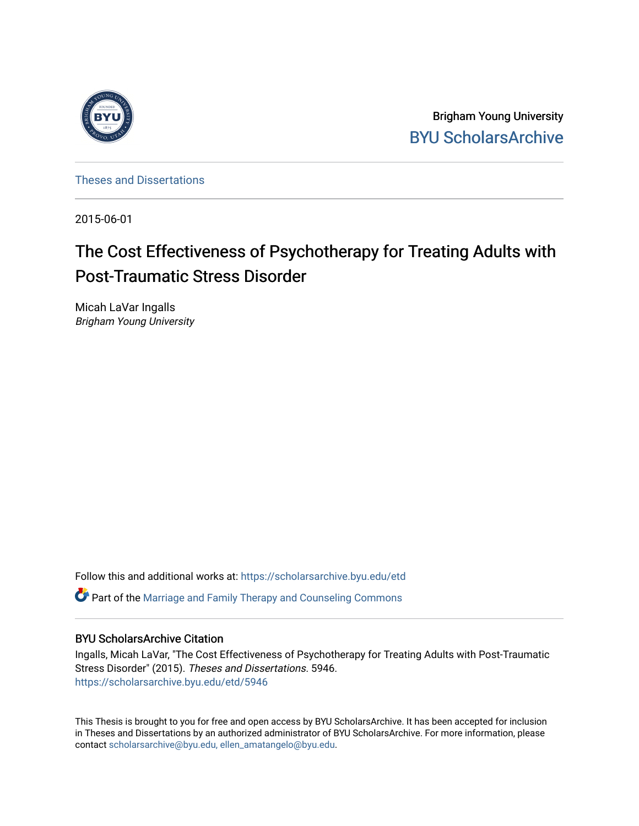

Brigham Young University [BYU ScholarsArchive](https://scholarsarchive.byu.edu/) 

[Theses and Dissertations](https://scholarsarchive.byu.edu/etd)

2015-06-01

# The Cost Effectiveness of Psychotherapy for Treating Adults with Post-Traumatic Stress Disorder

Micah LaVar Ingalls Brigham Young University

Follow this and additional works at: [https://scholarsarchive.byu.edu/etd](https://scholarsarchive.byu.edu/etd?utm_source=scholarsarchive.byu.edu%2Fetd%2F5946&utm_medium=PDF&utm_campaign=PDFCoverPages)

 $\bullet$  Part of the Marriage and Family Therapy and Counseling Commons

#### BYU ScholarsArchive Citation

Ingalls, Micah LaVar, "The Cost Effectiveness of Psychotherapy for Treating Adults with Post-Traumatic Stress Disorder" (2015). Theses and Dissertations. 5946. [https://scholarsarchive.byu.edu/etd/5946](https://scholarsarchive.byu.edu/etd/5946?utm_source=scholarsarchive.byu.edu%2Fetd%2F5946&utm_medium=PDF&utm_campaign=PDFCoverPages) 

This Thesis is brought to you for free and open access by BYU ScholarsArchive. It has been accepted for inclusion in Theses and Dissertations by an authorized administrator of BYU ScholarsArchive. For more information, please contact [scholarsarchive@byu.edu, ellen\\_amatangelo@byu.edu](mailto:scholarsarchive@byu.edu,%20ellen_amatangelo@byu.edu).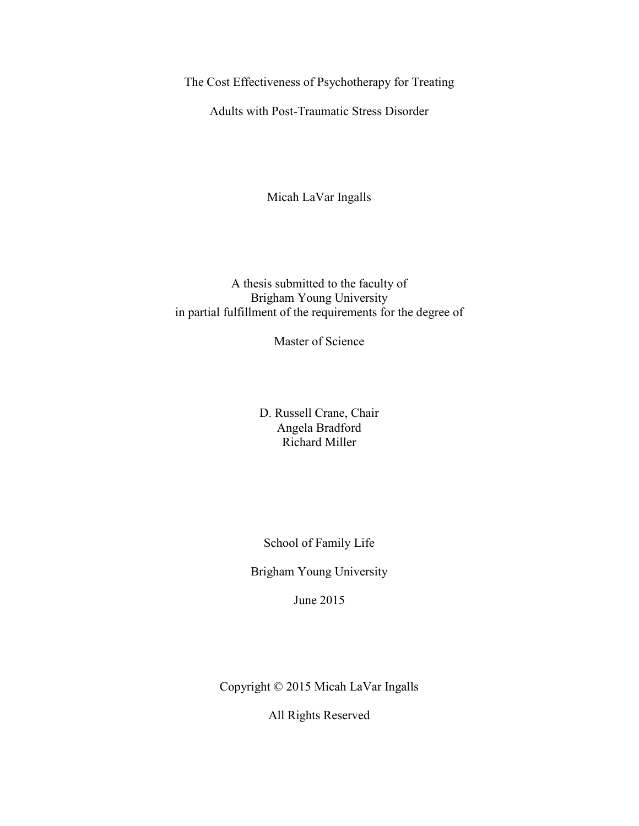The Cost Effectiveness of Psychotherapy for Treating

Adults with Post-Traumatic Stress Disorder

Micah LaVar Ingalls

A thesis submitted to the faculty of Brigham Young University in partial fulfillment of the requirements for the degree of

Master of Science

D. Russell Crane, Chair Angela Bradford Richard Miller

School of Family Life

Brigham Young University

June 2015

Copyright © 2015 Micah LaVar Ingalls

All Rights Reserved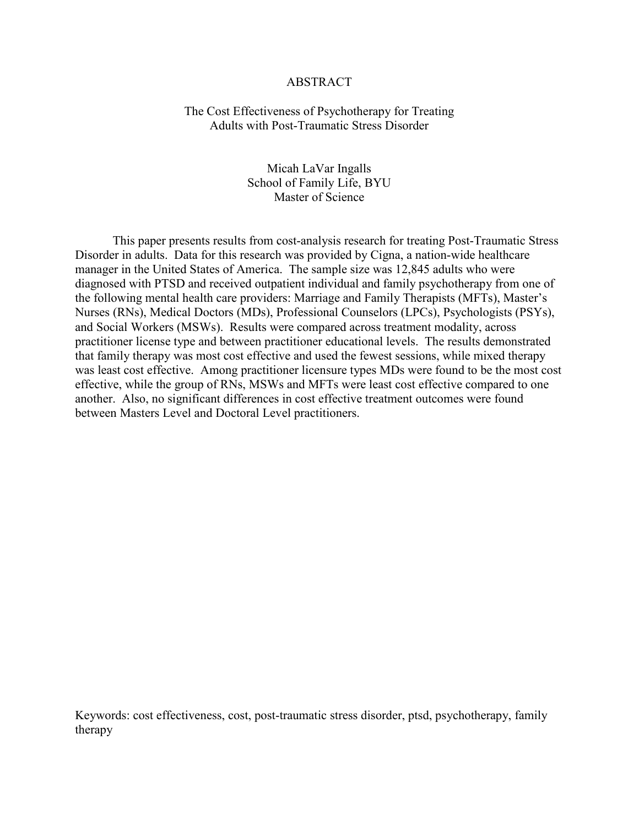#### ABSTRACT

#### The Cost Effectiveness of Psychotherapy for Treating Adults with Post-Traumatic Stress Disorder

Micah LaVar Ingalls School of Family Life, BYU Master of Science

This paper presents results from cost-analysis research for treating Post-Traumatic Stress Disorder in adults. Data for this research was provided by Cigna, a nation-wide healthcare manager in the United States of America. The sample size was 12,845 adults who were diagnosed with PTSD and received outpatient individual and family psychotherapy from one of the following mental health care providers: Marriage and Family Therapists (MFTs), Master's Nurses (RNs), Medical Doctors (MDs), Professional Counselors (LPCs), Psychologists (PSYs), and Social Workers (MSWs). Results were compared across treatment modality, across practitioner license type and between practitioner educational levels. The results demonstrated that family therapy was most cost effective and used the fewest sessions, while mixed therapy was least cost effective. Among practitioner licensure types MDs were found to be the most cost effective, while the group of RNs, MSWs and MFTs were least cost effective compared to one another. Also, no significant differences in cost effective treatment outcomes were found between Masters Level and Doctoral Level practitioners.

Keywords: cost effectiveness, cost, post-traumatic stress disorder, ptsd, psychotherapy, family therapy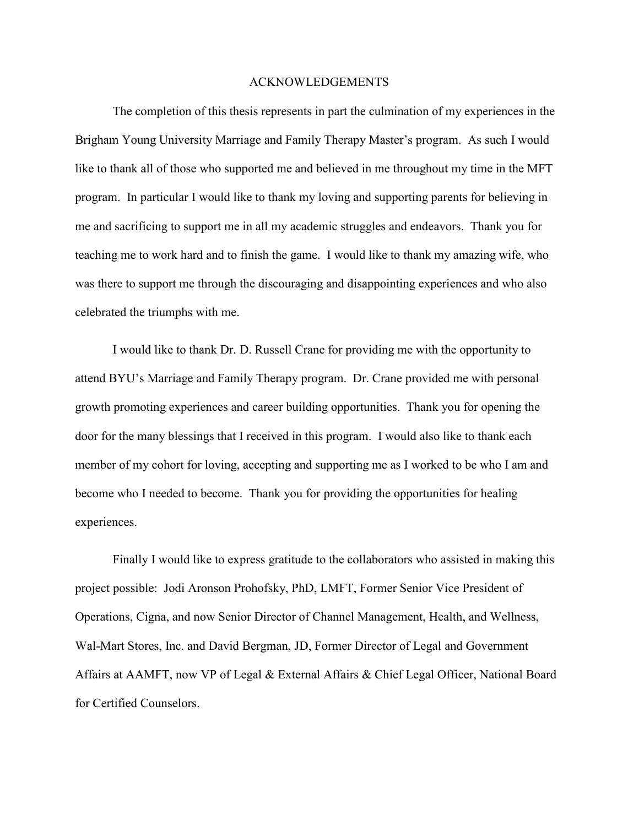#### ACKNOWLEDGEMENTS

The completion of this thesis represents in part the culmination of my experiences in the Brigham Young University Marriage and Family Therapy Master's program. As such I would like to thank all of those who supported me and believed in me throughout my time in the MFT program. In particular I would like to thank my loving and supporting parents for believing in me and sacrificing to support me in all my academic struggles and endeavors. Thank you for teaching me to work hard and to finish the game. I would like to thank my amazing wife, who was there to support me through the discouraging and disappointing experiences and who also celebrated the triumphs with me.

I would like to thank Dr. D. Russell Crane for providing me with the opportunity to attend BYU's Marriage and Family Therapy program. Dr. Crane provided me with personal growth promoting experiences and career building opportunities. Thank you for opening the door for the many blessings that I received in this program. I would also like to thank each member of my cohort for loving, accepting and supporting me as I worked to be who I am and become who I needed to become. Thank you for providing the opportunities for healing experiences.

Finally I would like to express gratitude to the collaborators who assisted in making this project possible: Jodi Aronson Prohofsky, PhD, LMFT, Former Senior Vice President of Operations, Cigna, and now Senior Director of Channel Management, Health, and Wellness, Wal-Mart Stores, Inc. and David Bergman, JD, Former Director of Legal and Government Affairs at AAMFT, now VP of Legal & External Affairs & Chief Legal Officer, National Board for Certified Counselors.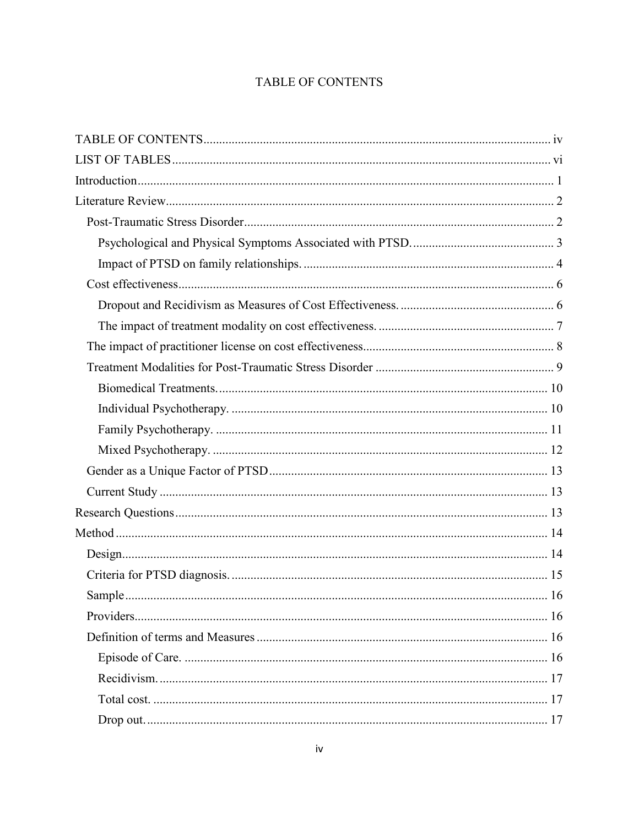## **TABLE OF CONTENTS**

<span id="page-4-0"></span>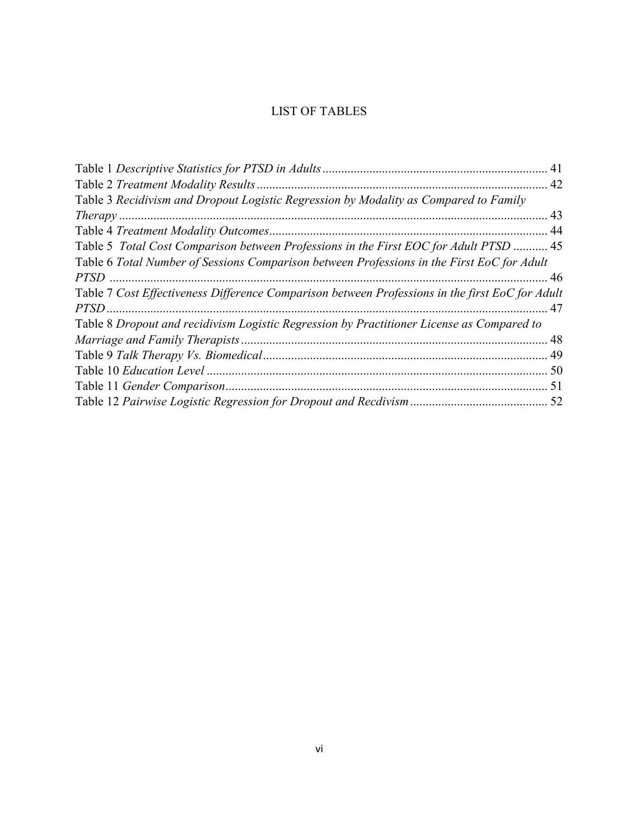## LIST OF TABLES

<span id="page-6-0"></span>

| Table 1 Descriptive Statistics for PTSD in Adults                                               | 41 |
|-------------------------------------------------------------------------------------------------|----|
|                                                                                                 | 42 |
| Table 3 Recidivism and Dropout Logistic Regression by Modality as Compared to Family            |    |
| <i>Therapy</i> .                                                                                | 43 |
|                                                                                                 | 44 |
| Table 5 Total Cost Comparison between Professions in the First EOC for Adult PTSD  45           |    |
| Table 6 Total Number of Sessions Comparison between Professions in the First EoC for Adult      |    |
|                                                                                                 |    |
| Table 7 Cost Effectiveness Difference Comparison between Professions in the first EoC for Adult |    |
| PTSD.                                                                                           | 47 |
| Table 8 Dropout and recidivism Logistic Regression by Practitioner License as Compared to       |    |
| Marriage and Family Therapists                                                                  | 48 |
|                                                                                                 | 49 |
|                                                                                                 | 50 |
|                                                                                                 | 51 |
|                                                                                                 | 52 |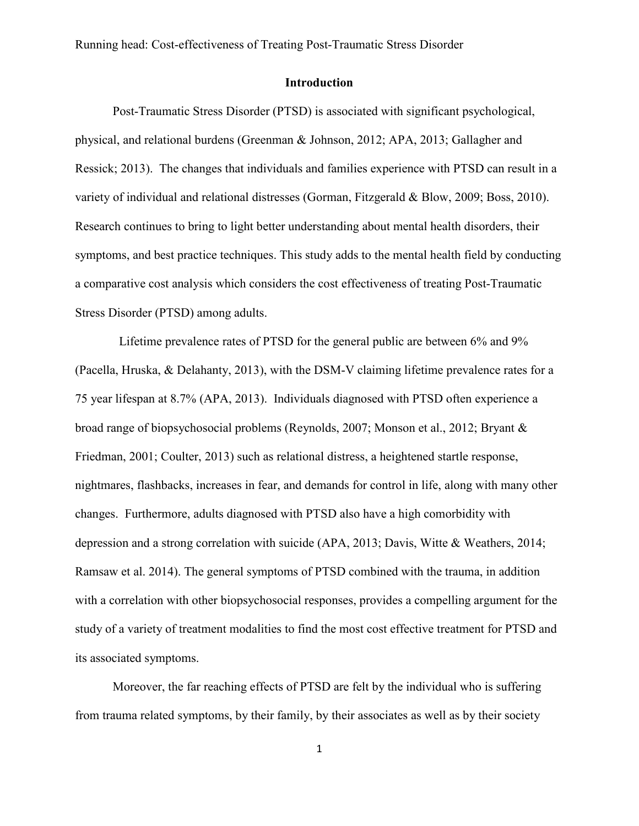#### **Introduction**

<span id="page-7-0"></span>Post-Traumatic Stress Disorder (PTSD) is associated with significant psychological, physical, and relational burdens (Greenman & Johnson, 2012; APA, 2013; Gallagher and Ressick; 2013). The changes that individuals and families experience with PTSD can result in a variety of individual and relational distresses (Gorman, Fitzgerald & Blow, 2009; Boss, 2010). Research continues to bring to light better understanding about mental health disorders, their symptoms, and best practice techniques. This study adds to the mental health field by conducting a comparative cost analysis which considers the cost effectiveness of treating Post-Traumatic Stress Disorder (PTSD) among adults.

 Lifetime prevalence rates of PTSD for the general public are between 6% and 9% (Pacella, Hruska, & Delahanty, 2013), with the DSM-V claiming lifetime prevalence rates for a 75 year lifespan at 8.7% (APA, 2013). Individuals diagnosed with PTSD often experience a broad range of biopsychosocial problems (Reynolds, 2007; Monson et al., 2012; Bryant & Friedman, 2001; Coulter, 2013) such as relational distress, a heightened startle response, nightmares, flashbacks, increases in fear, and demands for control in life, along with many other changes. Furthermore, adults diagnosed with PTSD also have a high comorbidity with depression and a strong correlation with suicide (APA, 2013; Davis, Witte & Weathers, 2014; Ramsaw et al. 2014). The general symptoms of PTSD combined with the trauma, in addition with a correlation with other biopsychosocial responses, provides a compelling argument for the study of a variety of treatment modalities to find the most cost effective treatment for PTSD and its associated symptoms.

Moreover, the far reaching effects of PTSD are felt by the individual who is suffering from trauma related symptoms, by their family, by their associates as well as by their society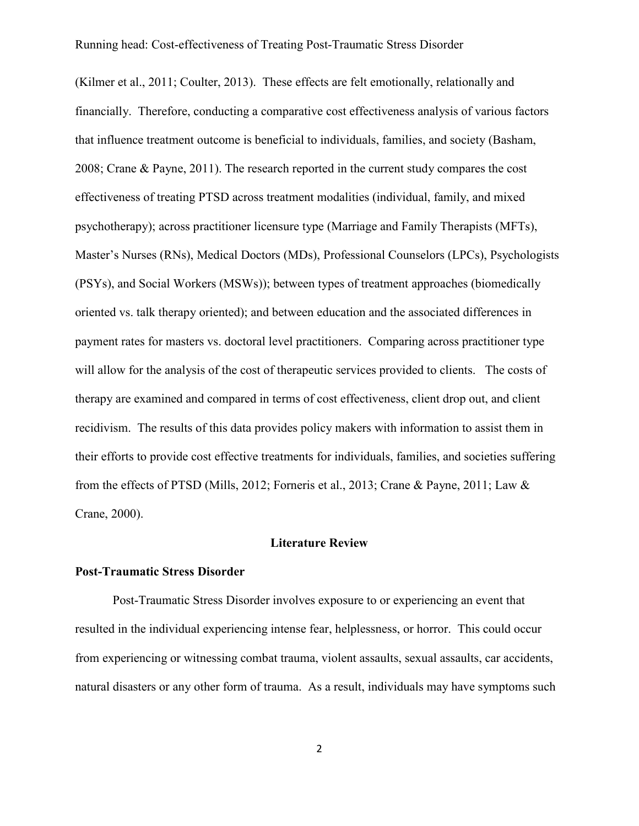(Kilmer et al., 2011; Coulter, 2013). These effects are felt emotionally, relationally and financially. Therefore, conducting a comparative cost effectiveness analysis of various factors that influence treatment outcome is beneficial to individuals, families, and society (Basham, 2008; Crane & Payne, 2011). The research reported in the current study compares the cost effectiveness of treating PTSD across treatment modalities (individual, family, and mixed psychotherapy); across practitioner licensure type (Marriage and Family Therapists (MFTs), Master's Nurses (RNs), Medical Doctors (MDs), Professional Counselors (LPCs), Psychologists (PSYs), and Social Workers (MSWs)); between types of treatment approaches (biomedically oriented vs. talk therapy oriented); and between education and the associated differences in payment rates for masters vs. doctoral level practitioners. Comparing across practitioner type will allow for the analysis of the cost of therapeutic services provided to clients. The costs of therapy are examined and compared in terms of cost effectiveness, client drop out, and client recidivism. The results of this data provides policy makers with information to assist them in their efforts to provide cost effective treatments for individuals, families, and societies suffering from the effects of PTSD (Mills, 2012; Forneris et al., 2013; Crane & Payne, 2011; Law & Crane, 2000).

#### **Literature Review**

#### <span id="page-8-1"></span><span id="page-8-0"></span>**Post-Traumatic Stress Disorder**

Post-Traumatic Stress Disorder involves exposure to or experiencing an event that resulted in the individual experiencing intense fear, helplessness, or horror. This could occur from experiencing or witnessing combat trauma, violent assaults, sexual assaults, car accidents, natural disasters or any other form of trauma. As a result, individuals may have symptoms such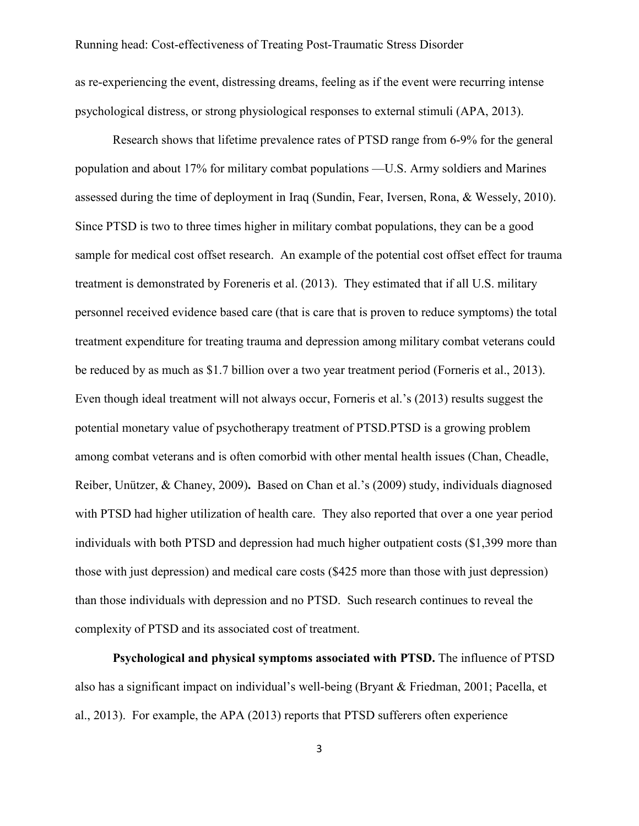as re-experiencing the event, distressing dreams, feeling as if the event were recurring intense psychological distress, or strong physiological responses to external stimuli (APA, 2013).

Research shows that lifetime prevalence rates of PTSD range from 6-9% for the general population and about 17% for military combat populations —U.S. Army soldiers and Marines assessed during the time of deployment in Iraq (Sundin, Fear, Iversen, Rona, & Wessely, 2010). Since PTSD is two to three times higher in military combat populations, they can be a good sample for medical cost offset research. An example of the potential cost offset effect for trauma treatment is demonstrated by Foreneris et al. (2013). They estimated that if all U.S. military personnel received evidence based care (that is care that is proven to reduce symptoms) the total treatment expenditure for treating trauma and depression among military combat veterans could be reduced by as much as \$1.7 billion over a two year treatment period (Forneris et al., 2013). Even though ideal treatment will not always occur, Forneris et al.'s (2013) results suggest the potential monetary value of psychotherapy treatment of PTSD.PTSD is a growing problem among combat veterans and is often comorbid with other mental health issues (Chan, Cheadle, Reiber, Unützer, & Chaney, 2009)**.** Based on Chan et al.'s (2009) study, individuals diagnosed with PTSD had higher utilization of health care. They also reported that over a one year period individuals with both PTSD and depression had much higher outpatient costs (\$1,399 more than those with just depression) and medical care costs (\$425 more than those with just depression) than those individuals with depression and no PTSD. Such research continues to reveal the complexity of PTSD and its associated cost of treatment.

<span id="page-9-0"></span>**Psychological and physical symptoms associated with PTSD.** The influence of PTSD also has a significant impact on individual's well-being (Bryant & Friedman, 2001; Pacella, et al., 2013). For example, the APA (2013) reports that PTSD sufferers often experience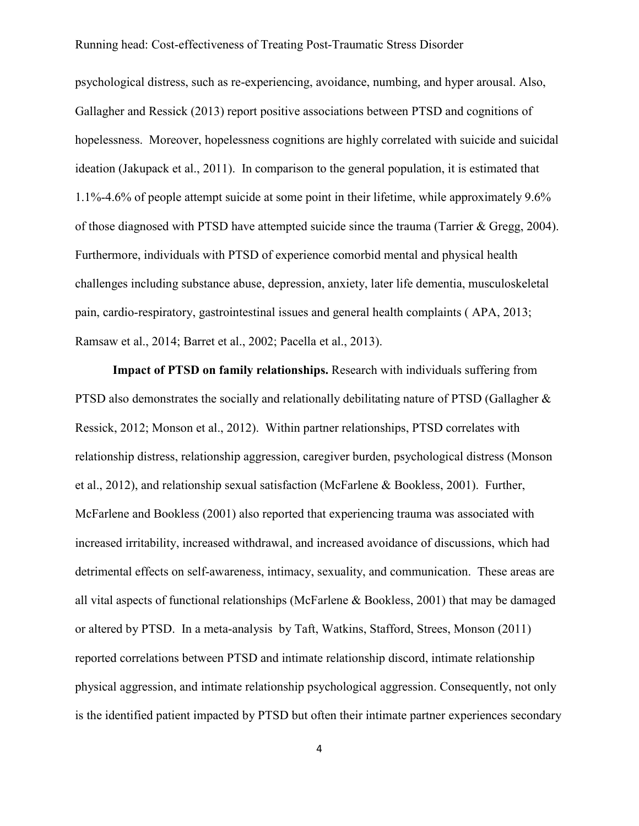psychological distress, such as re-experiencing, avoidance, numbing, and hyper arousal. Also, Gallagher and Ressick (2013) report positive associations between PTSD and cognitions of hopelessness. Moreover, hopelessness cognitions are highly correlated with suicide and suicidal ideation (Jakupack et al., 2011). In comparison to the general population, it is estimated that 1.1%-4.6% of people attempt suicide at some point in their lifetime, while approximately 9.6% of those diagnosed with PTSD have attempted suicide since the trauma (Tarrier & Gregg, 2004). Furthermore, individuals with PTSD of experience comorbid mental and physical health challenges including substance abuse, depression, anxiety, later life dementia, musculoskeletal pain, cardio-respiratory, gastrointestinal issues and general health complaints ( APA, 2013; Ramsaw et al., 2014; Barret et al., 2002; Pacella et al., 2013).

<span id="page-10-0"></span>**Impact of PTSD on family relationships.** Research with individuals suffering from PTSD also demonstrates the socially and relationally debilitating nature of PTSD (Gallagher & Ressick, 2012; Monson et al., 2012). Within partner relationships, PTSD correlates with relationship distress, relationship aggression, caregiver burden, psychological distress (Monson et al., 2012), and relationship sexual satisfaction (McFarlene & Bookless, 2001). Further, McFarlene and Bookless (2001) also reported that experiencing trauma was associated with increased irritability, increased withdrawal, and increased avoidance of discussions, which had detrimental effects on self-awareness, intimacy, sexuality, and communication. These areas are all vital aspects of functional relationships (McFarlene & Bookless, 2001) that may be damaged or altered by PTSD. In a meta-analysis by Taft, Watkins, Stafford, Strees, Monson (2011) reported correlations between PTSD and intimate relationship discord, intimate relationship physical aggression, and intimate relationship psychological aggression. Consequently, not only is the identified patient impacted by PTSD but often their intimate partner experiences secondary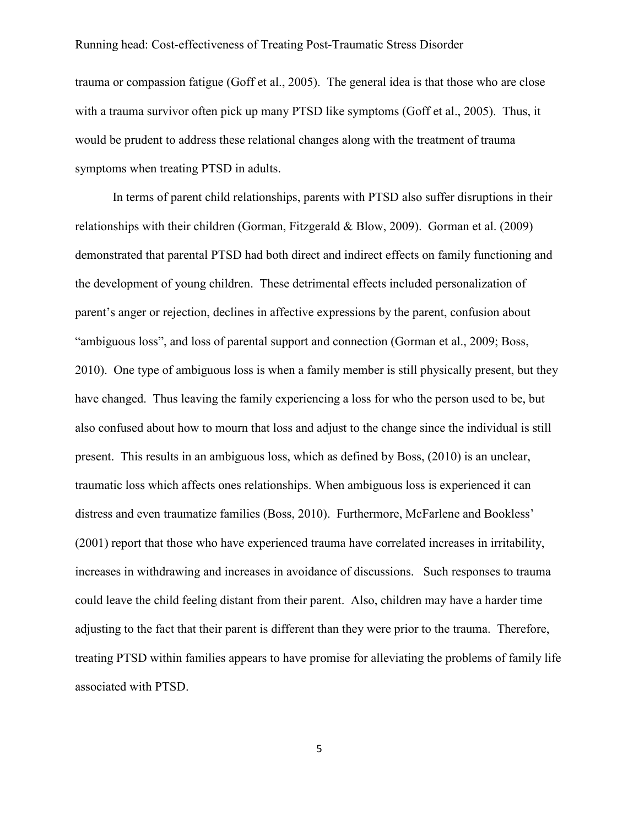trauma or compassion fatigue (Goff et al., 2005). The general idea is that those who are close with a trauma survivor often pick up many PTSD like symptoms (Goff et al., 2005). Thus, it would be prudent to address these relational changes along with the treatment of trauma symptoms when treating PTSD in adults.

In terms of parent child relationships, parents with PTSD also suffer disruptions in their relationships with their children (Gorman, Fitzgerald & Blow, 2009). Gorman et al. (2009) demonstrated that parental PTSD had both direct and indirect effects on family functioning and the development of young children. These detrimental effects included personalization of parent's anger or rejection, declines in affective expressions by the parent, confusion about "ambiguous loss", and loss of parental support and connection (Gorman et al., 2009; Boss, 2010). One type of ambiguous loss is when a family member is still physically present, but they have changed. Thus leaving the family experiencing a loss for who the person used to be, but also confused about how to mourn that loss and adjust to the change since the individual is still present. This results in an ambiguous loss, which as defined by Boss, (2010) is an unclear, traumatic loss which affects ones relationships. When ambiguous loss is experienced it can distress and even traumatize families (Boss, 2010). Furthermore, McFarlene and Bookless' (2001) report that those who have experienced trauma have correlated increases in irritability, increases in withdrawing and increases in avoidance of discussions. Such responses to trauma could leave the child feeling distant from their parent. Also, children may have a harder time adjusting to the fact that their parent is different than they were prior to the trauma. Therefore, treating PTSD within families appears to have promise for alleviating the problems of family life associated with PTSD.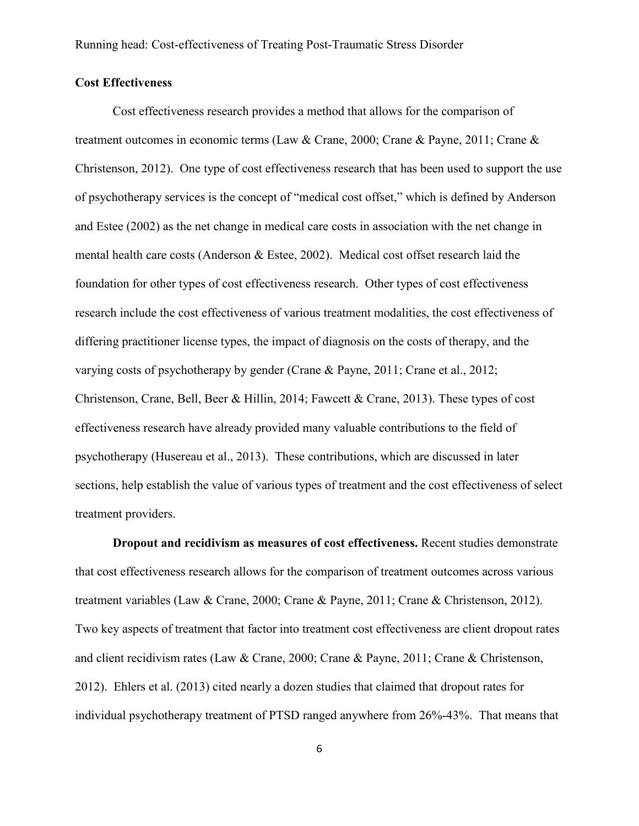#### <span id="page-12-0"></span>**Cost Effectiveness**

Cost effectiveness research provides a method that allows for the comparison of treatment outcomes in economic terms (Law & Crane, 2000; Crane & Payne, 2011; Crane & Christenson, 2012). One type of cost effectiveness research that has been used to support the use of psychotherapy services is the concept of "medical cost offset," which is defined by Anderson and Estee (2002) as the net change in medical care costs in association with the net change in mental health care costs (Anderson & Estee, 2002). Medical cost offset research laid the foundation for other types of cost effectiveness research. Other types of cost effectiveness research include the cost effectiveness of various treatment modalities, the cost effectiveness of differing practitioner license types, the impact of diagnosis on the costs of therapy, and the varying costs of psychotherapy by gender (Crane & Payne, 2011; Crane et al., 2012; Christenson, Crane, Bell, Beer & Hillin, 2014; Fawcett & Crane, 2013). These types of cost effectiveness research have already provided many valuable contributions to the field of psychotherapy (Husereau et al., 2013). These contributions, which are discussed in later sections, help establish the value of various types of treatment and the cost effectiveness of select treatment providers.

<span id="page-12-1"></span>**Dropout and recidivism as measures of cost effectiveness.** Recent studies demonstrate that cost effectiveness research allows for the comparison of treatment outcomes across various treatment variables (Law & Crane, 2000; Crane & Payne, 2011; Crane & Christenson, 2012). Two key aspects of treatment that factor into treatment cost effectiveness are client dropout rates and client recidivism rates (Law & Crane, 2000; Crane & Payne, 2011; Crane & Christenson, 2012). Ehlers et al. (2013) cited nearly a dozen studies that claimed that dropout rates for individual psychotherapy treatment of PTSD ranged anywhere from 26%-43%. That means that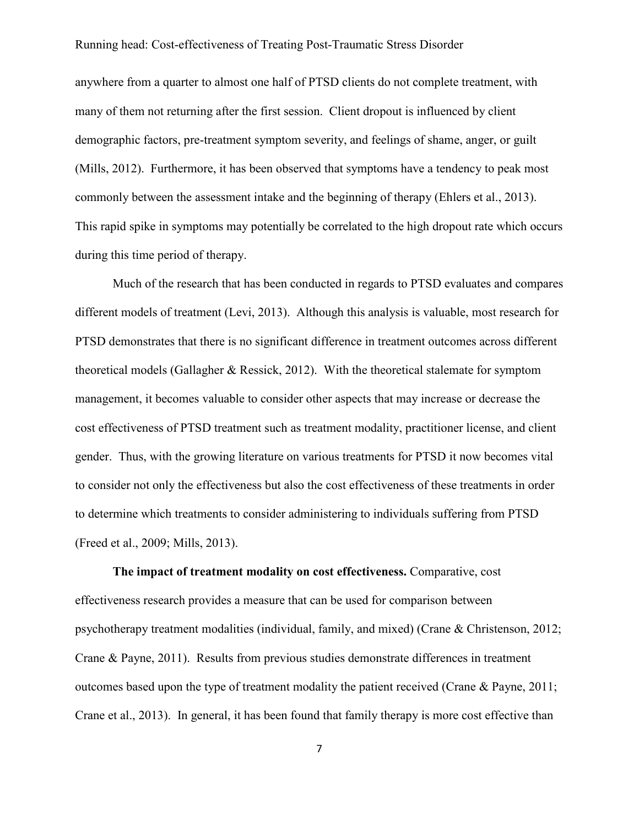anywhere from a quarter to almost one half of PTSD clients do not complete treatment, with many of them not returning after the first session. Client dropout is influenced by client demographic factors, pre-treatment symptom severity, and feelings of shame, anger, or guilt (Mills, 2012). Furthermore, it has been observed that symptoms have a tendency to peak most commonly between the assessment intake and the beginning of therapy (Ehlers et al., 2013). This rapid spike in symptoms may potentially be correlated to the high dropout rate which occurs during this time period of therapy.

Much of the research that has been conducted in regards to PTSD evaluates and compares different models of treatment (Levi, 2013). Although this analysis is valuable, most research for PTSD demonstrates that there is no significant difference in treatment outcomes across different theoretical models (Gallagher & Ressick, 2012). With the theoretical stalemate for symptom management, it becomes valuable to consider other aspects that may increase or decrease the cost effectiveness of PTSD treatment such as treatment modality, practitioner license, and client gender. Thus, with the growing literature on various treatments for PTSD it now becomes vital to consider not only the effectiveness but also the cost effectiveness of these treatments in order to determine which treatments to consider administering to individuals suffering from PTSD (Freed et al., 2009; Mills, 2013).

<span id="page-13-0"></span>**The impact of treatment modality on cost effectiveness.** Comparative, cost effectiveness research provides a measure that can be used for comparison between psychotherapy treatment modalities (individual, family, and mixed) (Crane & Christenson, 2012; Crane & Payne, 2011). Results from previous studies demonstrate differences in treatment outcomes based upon the type of treatment modality the patient received (Crane & Payne, 2011; Crane et al., 2013). In general, it has been found that family therapy is more cost effective than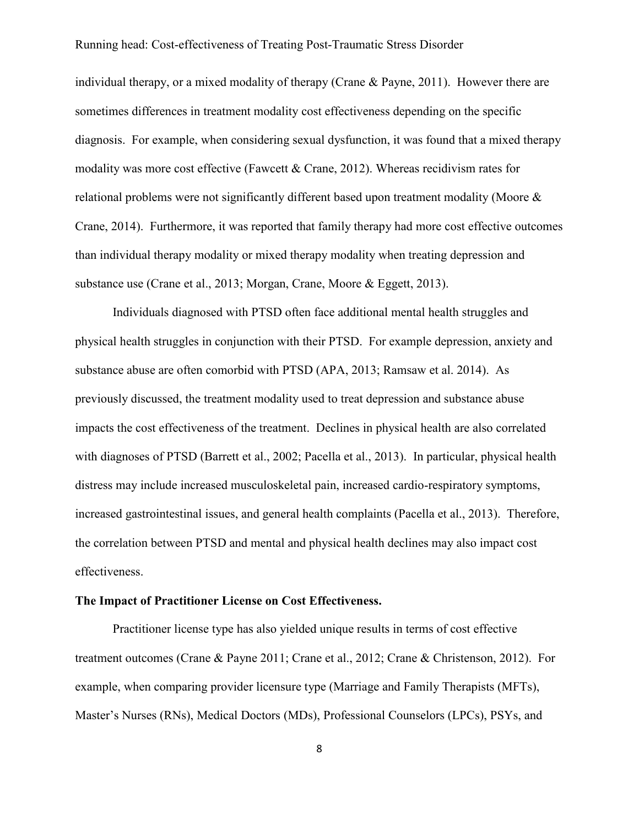individual therapy, or a mixed modality of therapy (Crane & Payne, 2011). However there are sometimes differences in treatment modality cost effectiveness depending on the specific diagnosis. For example, when considering sexual dysfunction, it was found that a mixed therapy modality was more cost effective (Fawcett & Crane, 2012). Whereas recidivism rates for relational problems were not significantly different based upon treatment modality (Moore & Crane, 2014). Furthermore, it was reported that family therapy had more cost effective outcomes than individual therapy modality or mixed therapy modality when treating depression and substance use (Crane et al., 2013; Morgan, Crane, Moore & Eggett, 2013).

Individuals diagnosed with PTSD often face additional mental health struggles and physical health struggles in conjunction with their PTSD. For example depression, anxiety and substance abuse are often comorbid with PTSD (APA, 2013; Ramsaw et al. 2014). As previously discussed, the treatment modality used to treat depression and substance abuse impacts the cost effectiveness of the treatment. Declines in physical health are also correlated with diagnoses of PTSD (Barrett et al., 2002; Pacella et al., 2013). In particular, physical health distress may include increased musculoskeletal pain, increased cardio-respiratory symptoms, increased gastrointestinal issues, and general health complaints (Pacella et al., 2013). Therefore, the correlation between PTSD and mental and physical health declines may also impact cost effectiveness.

#### <span id="page-14-0"></span>**The Impact of Practitioner License on Cost Effectiveness.**

Practitioner license type has also yielded unique results in terms of cost effective treatment outcomes (Crane & Payne 2011; Crane et al., 2012; Crane & Christenson, 2012). For example, when comparing provider licensure type (Marriage and Family Therapists (MFTs), Master's Nurses (RNs), Medical Doctors (MDs), Professional Counselors (LPCs), PSYs, and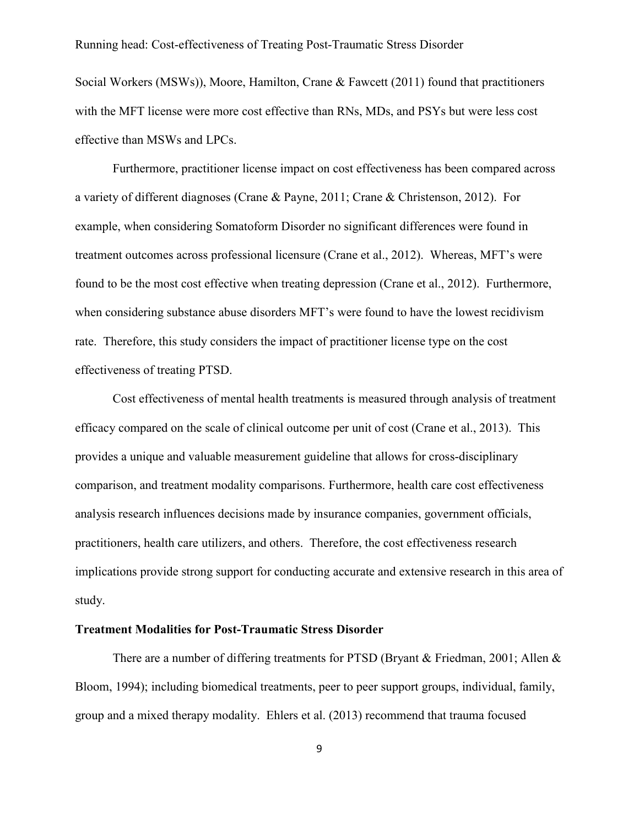Social Workers (MSWs)), Moore, Hamilton, Crane & Fawcett (2011) found that practitioners with the MFT license were more cost effective than RNs, MDs, and PSYs but were less cost effective than MSWs and LPCs.

Furthermore, practitioner license impact on cost effectiveness has been compared across a variety of different diagnoses (Crane & Payne, 2011; Crane & Christenson, 2012). For example, when considering Somatoform Disorder no significant differences were found in treatment outcomes across professional licensure (Crane et al., 2012). Whereas, MFT's were found to be the most cost effective when treating depression (Crane et al., 2012). Furthermore, when considering substance abuse disorders MFT's were found to have the lowest recidivism rate. Therefore, this study considers the impact of practitioner license type on the cost effectiveness of treating PTSD.

Cost effectiveness of mental health treatments is measured through analysis of treatment efficacy compared on the scale of clinical outcome per unit of cost (Crane et al., 2013). This provides a unique and valuable measurement guideline that allows for cross-disciplinary comparison, and treatment modality comparisons. Furthermore, health care cost effectiveness analysis research influences decisions made by insurance companies, government officials, practitioners, health care utilizers, and others. Therefore, the cost effectiveness research implications provide strong support for conducting accurate and extensive research in this area of study.

#### <span id="page-15-0"></span>**Treatment Modalities for Post-Traumatic Stress Disorder**

There are a number of differing treatments for PTSD (Bryant & Friedman, 2001; Allen & Bloom, 1994); including biomedical treatments, peer to peer support groups, individual, family, group and a mixed therapy modality. Ehlers et al. (2013) recommend that trauma focused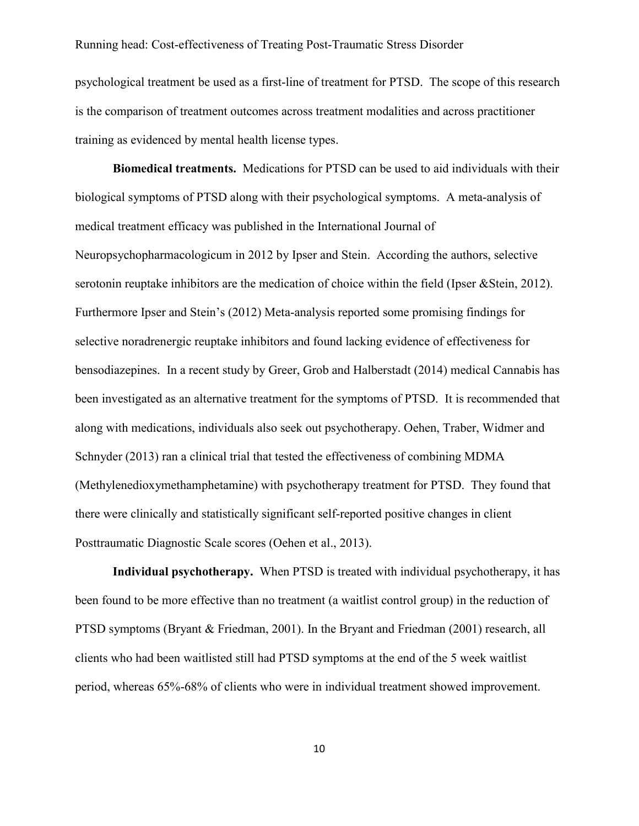psychological treatment be used as a first-line of treatment for PTSD. The scope of this research is the comparison of treatment outcomes across treatment modalities and across practitioner training as evidenced by mental health license types.

<span id="page-16-0"></span>**Biomedical treatments.** Medications for PTSD can be used to aid individuals with their biological symptoms of PTSD along with their psychological symptoms. A meta-analysis of medical treatment efficacy was published in the International Journal of Neuropsychopharmacologicum in 2012 by Ipser and Stein. According the authors, selective serotonin reuptake inhibitors are the medication of choice within the field (Ipser &Stein, 2012). Furthermore Ipser and Stein's (2012) Meta-analysis reported some promising findings for selective noradrenergic reuptake inhibitors and found lacking evidence of effectiveness for bensodiazepines. In a recent study by Greer, Grob and Halberstadt (2014) medical Cannabis has been investigated as an alternative treatment for the symptoms of PTSD. It is recommended that along with medications, individuals also seek out psychotherapy. Oehen, Traber, Widmer and Schnyder (2013) ran a clinical trial that tested the effectiveness of combining MDMA (Methylenedioxymethamphetamine) with psychotherapy treatment for PTSD. They found that there were clinically and statistically significant self-reported positive changes in client Posttraumatic Diagnostic Scale scores (Oehen et al., 2013).

<span id="page-16-1"></span>**Individual psychotherapy.** When PTSD is treated with individual psychotherapy, it has been found to be more effective than no treatment (a waitlist control group) in the reduction of PTSD symptoms (Bryant & Friedman, 2001). In the Bryant and Friedman (2001) research, all clients who had been waitlisted still had PTSD symptoms at the end of the 5 week waitlist period, whereas 65%-68% of clients who were in individual treatment showed improvement.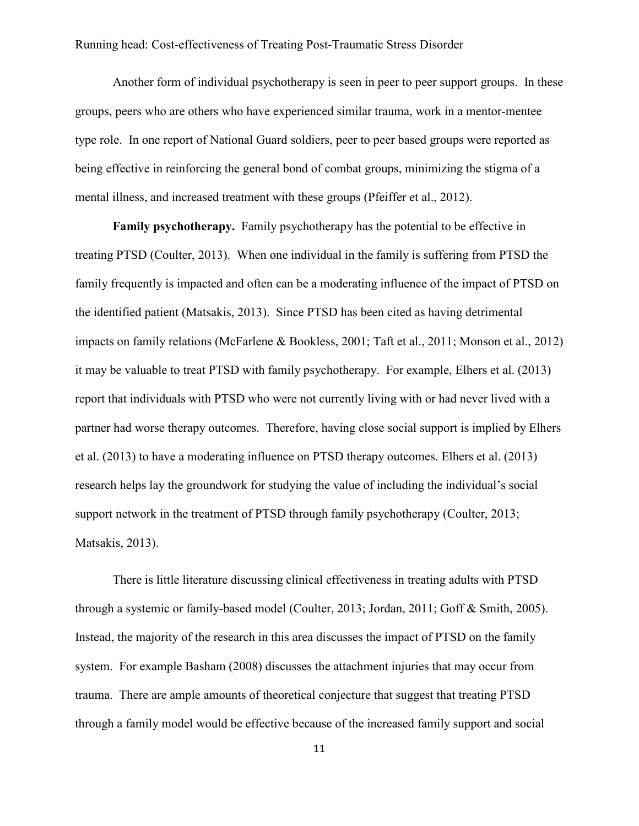Another form of individual psychotherapy is seen in peer to peer support groups. In these groups, peers who are others who have experienced similar trauma, work in a mentor-mentee type role. In one report of National Guard soldiers, peer to peer based groups were reported as being effective in reinforcing the general bond of combat groups, minimizing the stigma of a mental illness, and increased treatment with these groups (Pfeiffer et al., 2012).

<span id="page-17-0"></span>**Family psychotherapy.** Family psychotherapy has the potential to be effective in treating PTSD (Coulter, 2013). When one individual in the family is suffering from PTSD the family frequently is impacted and often can be a moderating influence of the impact of PTSD on the identified patient (Matsakis, 2013). Since PTSD has been cited as having detrimental impacts on family relations (McFarlene & Bookless, 2001; Taft et al., 2011; Monson et al., 2012) it may be valuable to treat PTSD with family psychotherapy. For example, Elhers et al. (2013) report that individuals with PTSD who were not currently living with or had never lived with a partner had worse therapy outcomes. Therefore, having close social support is implied by Elhers et al. (2013) to have a moderating influence on PTSD therapy outcomes. Elhers et al. (2013) research helps lay the groundwork for studying the value of including the individual's social support network in the treatment of PTSD through family psychotherapy (Coulter, 2013; Matsakis, 2013).

There is little literature discussing clinical effectiveness in treating adults with PTSD through a systemic or family-based model (Coulter, 2013; Jordan, 2011; Goff & Smith, 2005). Instead, the majority of the research in this area discusses the impact of PTSD on the family system. For example Basham (2008) discusses the attachment injuries that may occur from trauma. There are ample amounts of theoretical conjecture that suggest that treating PTSD through a family model would be effective because of the increased family support and social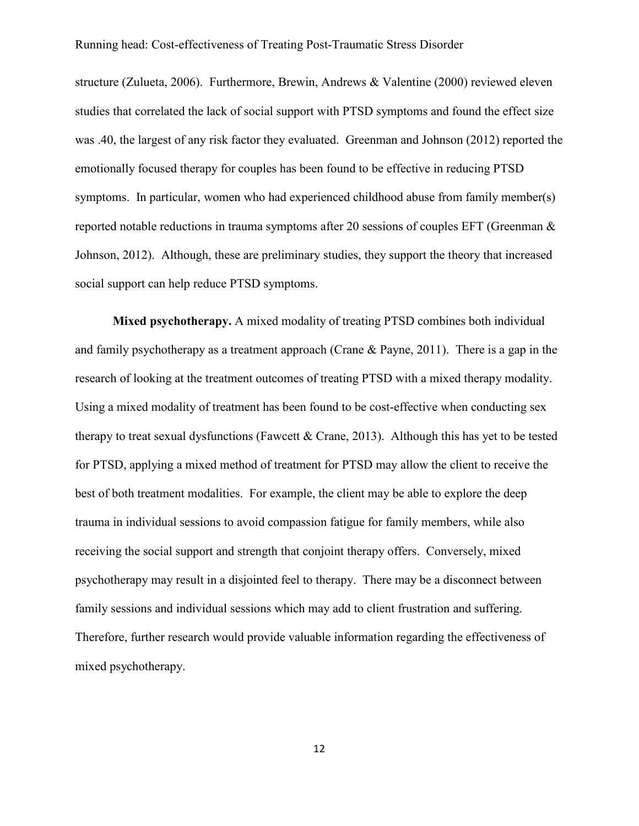structure (Zulueta, 2006). Furthermore, Brewin, Andrews & Valentine (2000) reviewed eleven studies that correlated the lack of social support with PTSD symptoms and found the effect size was .40, the largest of any risk factor they evaluated. Greenman and Johnson (2012) reported the emotionally focused therapy for couples has been found to be effective in reducing PTSD symptoms. In particular, women who had experienced childhood abuse from family member(s) reported notable reductions in trauma symptoms after 20 sessions of couples EFT (Greenman & Johnson, 2012). Although, these are preliminary studies, they support the theory that increased social support can help reduce PTSD symptoms.

<span id="page-18-0"></span>**Mixed psychotherapy.** A mixed modality of treating PTSD combines both individual and family psychotherapy as a treatment approach (Crane & Payne, 2011). There is a gap in the research of looking at the treatment outcomes of treating PTSD with a mixed therapy modality. Using a mixed modality of treatment has been found to be cost-effective when conducting sex therapy to treat sexual dysfunctions (Fawcett & Crane, 2013). Although this has yet to be tested for PTSD, applying a mixed method of treatment for PTSD may allow the client to receive the best of both treatment modalities. For example, the client may be able to explore the deep trauma in individual sessions to avoid compassion fatigue for family members, while also receiving the social support and strength that conjoint therapy offers. Conversely, mixed psychotherapy may result in a disjointed feel to therapy. There may be a disconnect between family sessions and individual sessions which may add to client frustration and suffering. Therefore, further research would provide valuable information regarding the effectiveness of mixed psychotherapy.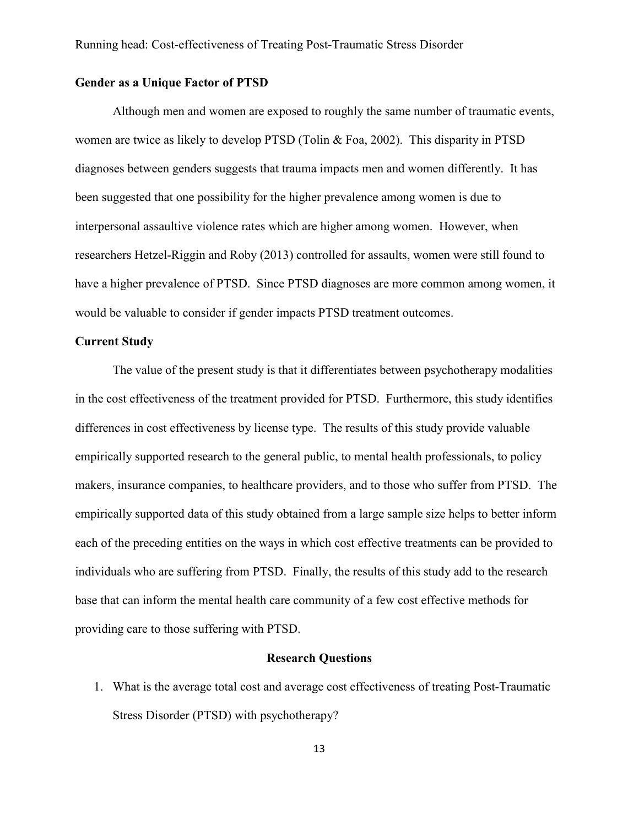#### <span id="page-19-0"></span>**Gender as a Unique Factor of PTSD**

Although men and women are exposed to roughly the same number of traumatic events, women are twice as likely to develop PTSD (Tolin & Foa, 2002). This disparity in PTSD diagnoses between genders suggests that trauma impacts men and women differently. It has been suggested that one possibility for the higher prevalence among women is due to interpersonal assaultive violence rates which are higher among women. However, when researchers Hetzel-Riggin and Roby (2013) controlled for assaults, women were still found to have a higher prevalence of PTSD. Since PTSD diagnoses are more common among women, it would be valuable to consider if gender impacts PTSD treatment outcomes.

#### <span id="page-19-1"></span>**Current Study**

The value of the present study is that it differentiates between psychotherapy modalities in the cost effectiveness of the treatment provided for PTSD. Furthermore, this study identifies differences in cost effectiveness by license type. The results of this study provide valuable empirically supported research to the general public, to mental health professionals, to policy makers, insurance companies, to healthcare providers, and to those who suffer from PTSD. The empirically supported data of this study obtained from a large sample size helps to better inform each of the preceding entities on the ways in which cost effective treatments can be provided to individuals who are suffering from PTSD. Finally, the results of this study add to the research base that can inform the mental health care community of a few cost effective methods for providing care to those suffering with PTSD.

#### **Research Questions**

<span id="page-19-2"></span>1. What is the average total cost and average cost effectiveness of treating Post-Traumatic Stress Disorder (PTSD) with psychotherapy?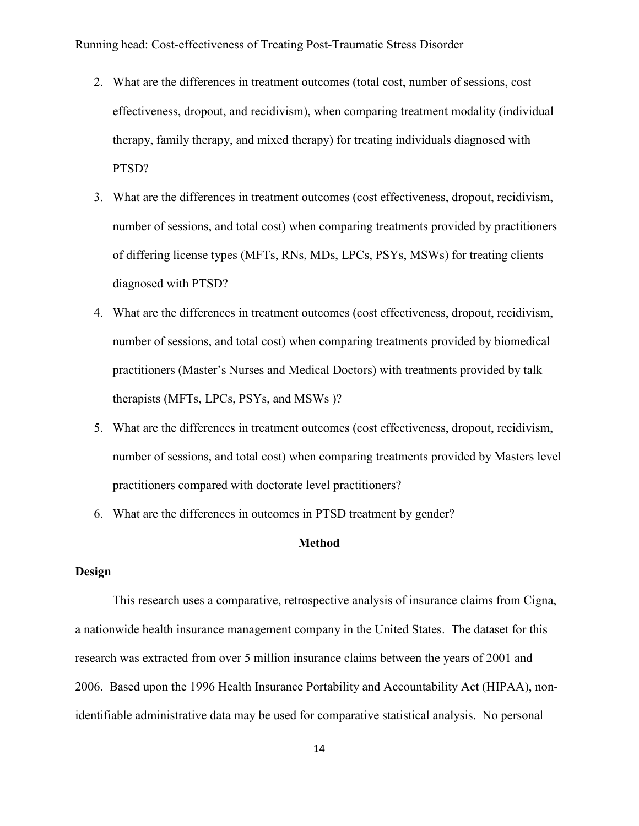- 2. What are the differences in treatment outcomes (total cost, number of sessions, cost effectiveness, dropout, and recidivism), when comparing treatment modality (individual therapy, family therapy, and mixed therapy) for treating individuals diagnosed with PTSD?
- 3. What are the differences in treatment outcomes (cost effectiveness, dropout, recidivism, number of sessions, and total cost) when comparing treatments provided by practitioners of differing license types (MFTs, RNs, MDs, LPCs, PSYs, MSWs) for treating clients diagnosed with PTSD?
- 4. What are the differences in treatment outcomes (cost effectiveness, dropout, recidivism, number of sessions, and total cost) when comparing treatments provided by biomedical practitioners (Master's Nurses and Medical Doctors) with treatments provided by talk therapists (MFTs, LPCs, PSYs, and MSWs )?
- 5. What are the differences in treatment outcomes (cost effectiveness, dropout, recidivism, number of sessions, and total cost) when comparing treatments provided by Masters level practitioners compared with doctorate level practitioners?
- 6. What are the differences in outcomes in PTSD treatment by gender?

#### **Method**

#### <span id="page-20-1"></span><span id="page-20-0"></span>**Design**

This research uses a comparative, retrospective analysis of insurance claims from Cigna, a nationwide health insurance management company in the United States. The dataset for this research was extracted from over 5 million insurance claims between the years of 2001 and 2006. Based upon the 1996 Health Insurance Portability and Accountability Act (HIPAA), nonidentifiable administrative data may be used for comparative statistical analysis. No personal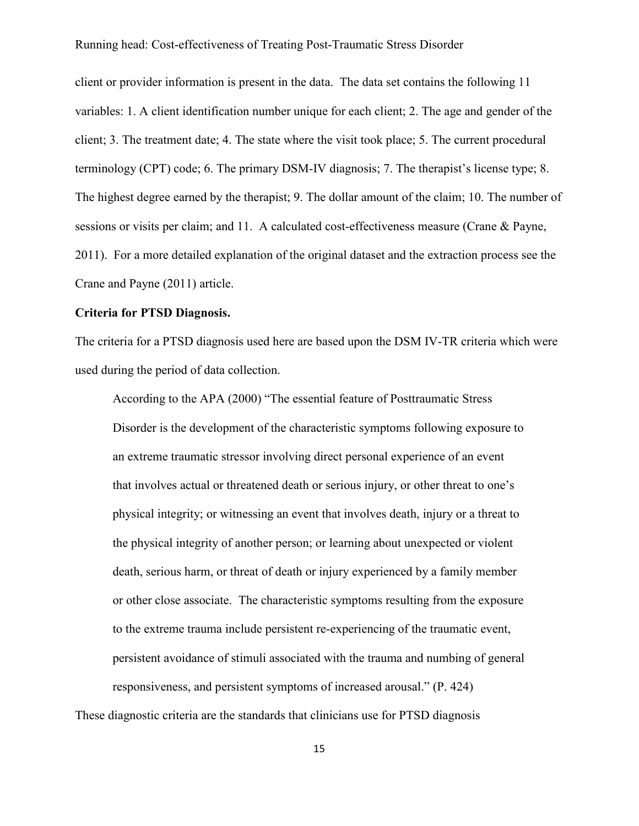client or provider information is present in the data. The data set contains the following 11 variables: 1. A client identification number unique for each client; 2. The age and gender of the client; 3. The treatment date; 4. The state where the visit took place; 5. The current procedural terminology (CPT) code; 6. The primary DSM-IV diagnosis; 7. The therapist's license type; 8. The highest degree earned by the therapist; 9. The dollar amount of the claim; 10. The number of sessions or visits per claim; and 11. A calculated cost-effectiveness measure (Crane & Payne, 2011). For a more detailed explanation of the original dataset and the extraction process see the Crane and Payne (2011) article.

#### <span id="page-21-0"></span>**Criteria for PTSD Diagnosis.**

The criteria for a PTSD diagnosis used here are based upon the DSM IV-TR criteria which were used during the period of data collection.

According to the APA (2000) "The essential feature of Posttraumatic Stress Disorder is the development of the characteristic symptoms following exposure to an extreme traumatic stressor involving direct personal experience of an event that involves actual or threatened death or serious injury, or other threat to one's physical integrity; or witnessing an event that involves death, injury or a threat to the physical integrity of another person; or learning about unexpected or violent death, serious harm, or threat of death or injury experienced by a family member or other close associate. The characteristic symptoms resulting from the exposure to the extreme trauma include persistent re-experiencing of the traumatic event, persistent avoidance of stimuli associated with the trauma and numbing of general responsiveness, and persistent symptoms of increased arousal." (P. 424)

These diagnostic criteria are the standards that clinicians use for PTSD diagnosis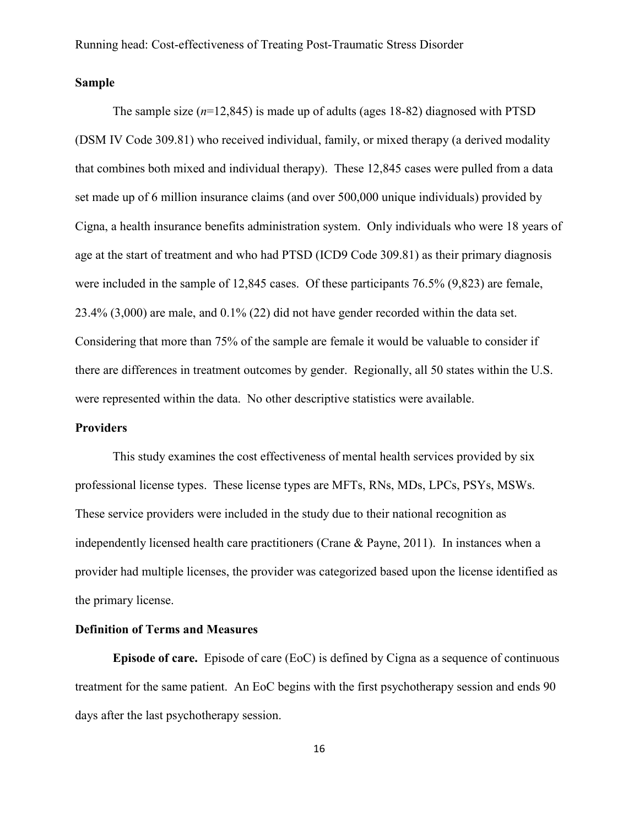#### <span id="page-22-0"></span>**Sample**

The sample size  $(n=12,845)$  is made up of adults (ages 18-82) diagnosed with PTSD (DSM IV Code 309.81) who received individual, family, or mixed therapy (a derived modality that combines both mixed and individual therapy). These 12,845 cases were pulled from a data set made up of 6 million insurance claims (and over 500,000 unique individuals) provided by Cigna, a health insurance benefits administration system. Only individuals who were 18 years of age at the start of treatment and who had PTSD (ICD9 Code 309.81) as their primary diagnosis were included in the sample of 12,845 cases. Of these participants 76.5% (9,823) are female, 23.4% (3,000) are male, and 0.1% (22) did not have gender recorded within the data set. Considering that more than 75% of the sample are female it would be valuable to consider if there are differences in treatment outcomes by gender. Regionally, all 50 states within the U.S. were represented within the data. No other descriptive statistics were available.

#### <span id="page-22-1"></span>**Providers**

This study examines the cost effectiveness of mental health services provided by six professional license types. These license types are MFTs, RNs, MDs, LPCs, PSYs, MSWs. These service providers were included in the study due to their national recognition as independently licensed health care practitioners (Crane & Payne, 2011). In instances when a provider had multiple licenses, the provider was categorized based upon the license identified as the primary license.

#### <span id="page-22-2"></span>**Definition of Terms and Measures**

<span id="page-22-3"></span>**Episode of care.** Episode of care (EoC) is defined by Cigna as a sequence of continuous treatment for the same patient. An EoC begins with the first psychotherapy session and ends 90 days after the last psychotherapy session.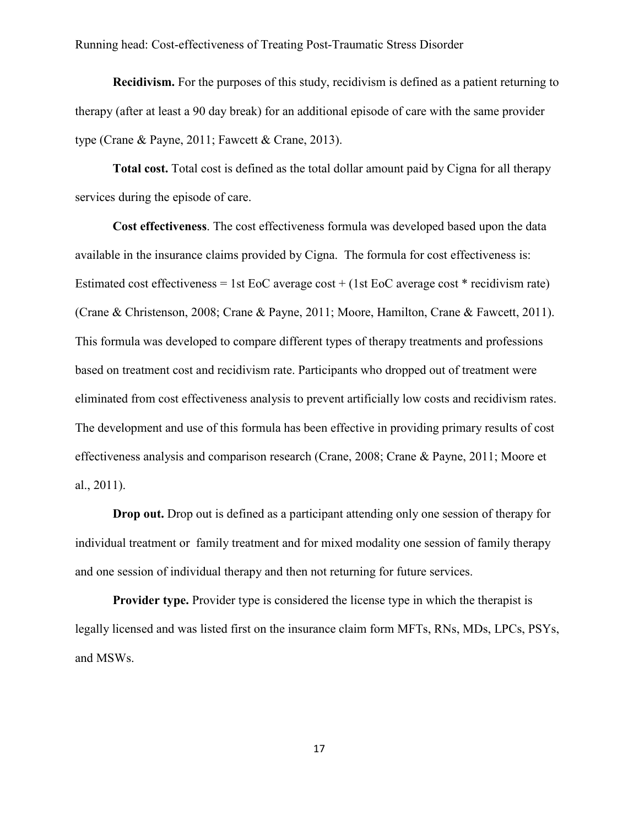<span id="page-23-0"></span>**Recidivism.** For the purposes of this study, recidivism is defined as a patient returning to therapy (after at least a 90 day break) for an additional episode of care with the same provider type (Crane & Payne, 2011; Fawcett & Crane, 2013).

<span id="page-23-1"></span>**Total cost.** Total cost is defined as the total dollar amount paid by Cigna for all therapy services during the episode of care.

**Cost effectiveness**. The cost effectiveness formula was developed based upon the data available in the insurance claims provided by Cigna. The formula for cost effectiveness is: Estimated cost effectiveness = 1st EoC average cost + (1st EoC average cost  $*$  recidivism rate) (Crane & Christenson, 2008; Crane & Payne, 2011; Moore, Hamilton, Crane & Fawcett, 2011). This formula was developed to compare different types of therapy treatments and professions based on treatment cost and recidivism rate. Participants who dropped out of treatment were eliminated from cost effectiveness analysis to prevent artificially low costs and recidivism rates. The development and use of this formula has been effective in providing primary results of cost effectiveness analysis and comparison research (Crane, 2008; Crane & Payne, 2011; Moore et al., 2011).

<span id="page-23-2"></span>**Drop out.** Drop out is defined as a participant attending only one session of therapy for individual treatment or family treatment and for mixed modality one session of family therapy and one session of individual therapy and then not returning for future services.

<span id="page-23-3"></span>**Provider type.** Provider type is considered the license type in which the therapist is legally licensed and was listed first on the insurance claim form MFTs, RNs, MDs, LPCs, PSYs, and MSWs.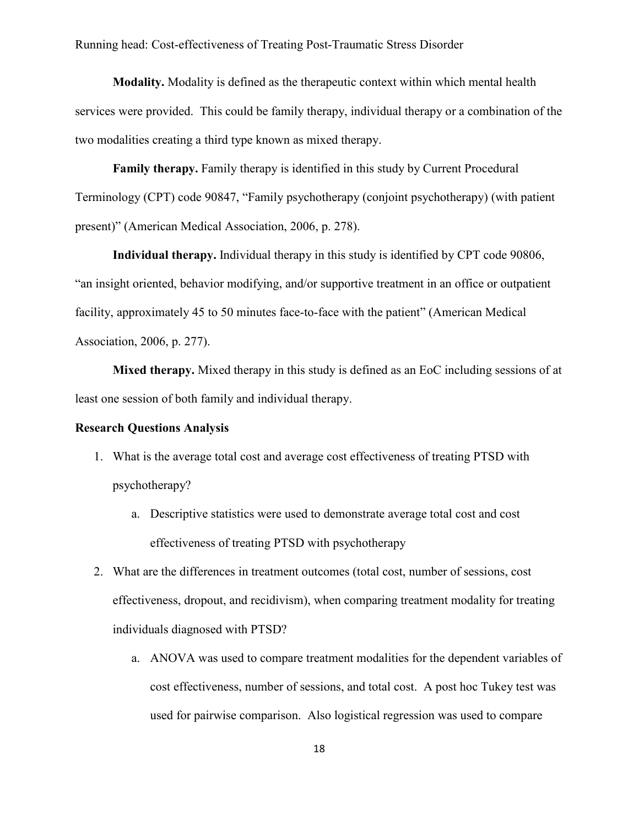<span id="page-24-0"></span>**Modality.** Modality is defined as the therapeutic context within which mental health services were provided. This could be family therapy, individual therapy or a combination of the two modalities creating a third type known as mixed therapy.

<span id="page-24-1"></span>**Family therapy.** Family therapy is identified in this study by Current Procedural Terminology (CPT) code 90847, "Family psychotherapy (conjoint psychotherapy) (with patient present)" (American Medical Association, 2006, p. 278).

<span id="page-24-2"></span>**Individual therapy.** Individual therapy in this study is identified by CPT code 90806, "an insight oriented, behavior modifying, and/or supportive treatment in an office or outpatient facility, approximately 45 to 50 minutes face-to-face with the patient" (American Medical Association, 2006, p. 277).

<span id="page-24-3"></span>**Mixed therapy.** Mixed therapy in this study is defined as an EoC including sessions of at least one session of both family and individual therapy.

#### <span id="page-24-4"></span>**Research Questions Analysis**

- 1. What is the average total cost and average cost effectiveness of treating PTSD with psychotherapy?
	- a. Descriptive statistics were used to demonstrate average total cost and cost effectiveness of treating PTSD with psychotherapy
- 2. What are the differences in treatment outcomes (total cost, number of sessions, cost effectiveness, dropout, and recidivism), when comparing treatment modality for treating individuals diagnosed with PTSD?
	- a. ANOVA was used to compare treatment modalities for the dependent variables of cost effectiveness, number of sessions, and total cost. A post hoc Tukey test was used for pairwise comparison. Also logistical regression was used to compare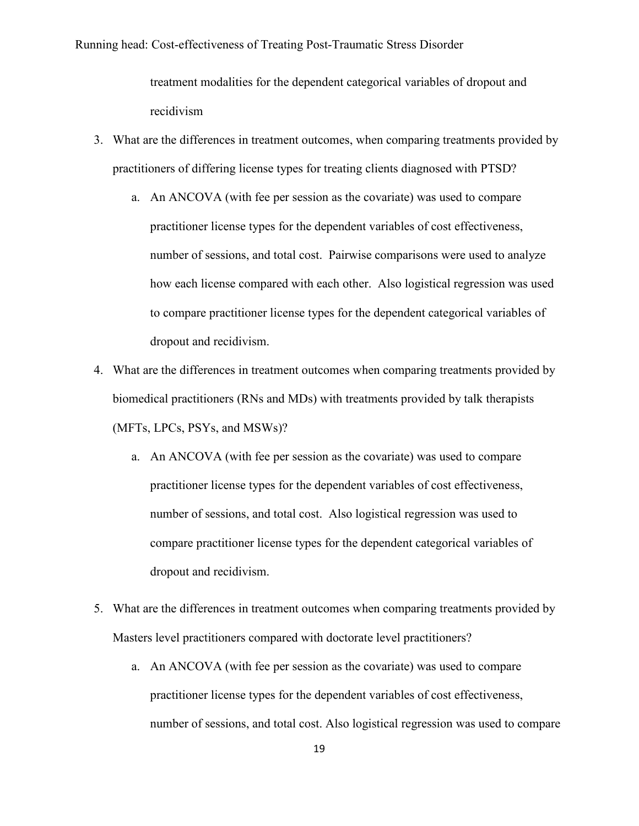treatment modalities for the dependent categorical variables of dropout and recidivism

- 3. What are the differences in treatment outcomes, when comparing treatments provided by practitioners of differing license types for treating clients diagnosed with PTSD?
	- a. An ANCOVA (with fee per session as the covariate) was used to compare practitioner license types for the dependent variables of cost effectiveness, number of sessions, and total cost. Pairwise comparisons were used to analyze how each license compared with each other. Also logistical regression was used to compare practitioner license types for the dependent categorical variables of dropout and recidivism.
- 4. What are the differences in treatment outcomes when comparing treatments provided by biomedical practitioners (RNs and MDs) with treatments provided by talk therapists (MFTs, LPCs, PSYs, and MSWs)?
	- a. An ANCOVA (with fee per session as the covariate) was used to compare practitioner license types for the dependent variables of cost effectiveness, number of sessions, and total cost. Also logistical regression was used to compare practitioner license types for the dependent categorical variables of dropout and recidivism.
- 5. What are the differences in treatment outcomes when comparing treatments provided by Masters level practitioners compared with doctorate level practitioners?
	- a. An ANCOVA (with fee per session as the covariate) was used to compare practitioner license types for the dependent variables of cost effectiveness, number of sessions, and total cost. Also logistical regression was used to compare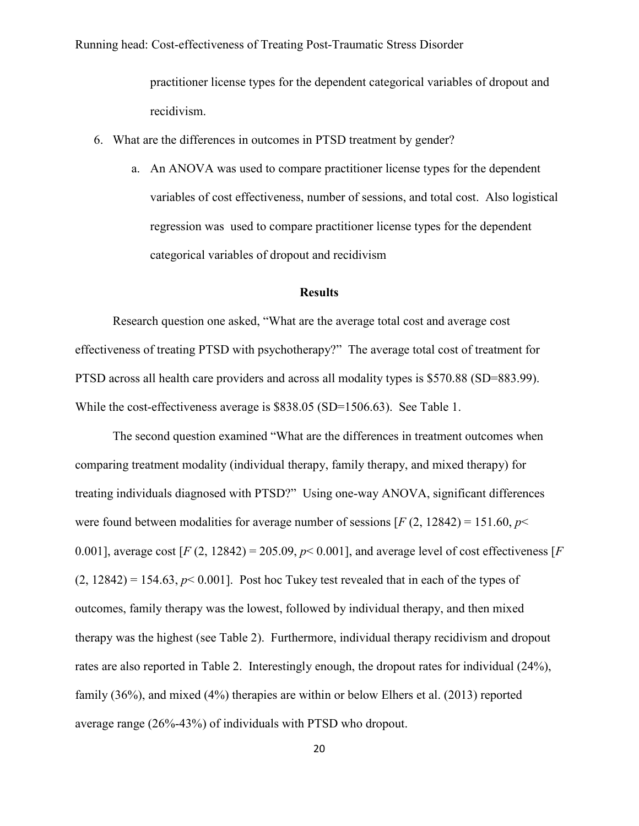practitioner license types for the dependent categorical variables of dropout and recidivism.

- 6. What are the differences in outcomes in PTSD treatment by gender?
	- a. An ANOVA was used to compare practitioner license types for the dependent variables of cost effectiveness, number of sessions, and total cost. Also logistical regression was used to compare practitioner license types for the dependent categorical variables of dropout and recidivism

#### **Results**

<span id="page-26-0"></span>Research question one asked, "What are the average total cost and average cost effectiveness of treating PTSD with psychotherapy?" The average total cost of treatment for PTSD across all health care providers and across all modality types is \$570.88 (SD=883.99). While the cost-effectiveness average is \$838.05 (SD=1506.63). See Table 1.

The second question examined "What are the differences in treatment outcomes when comparing treatment modality (individual therapy, family therapy, and mixed therapy) for treating individuals diagnosed with PTSD?" Using one-way ANOVA, significant differences were found between modalities for average number of sessions  $[F (2, 12842) = 151.60, p<$ 0.001], average cost  $[F(2, 12842) = 205.09, p< 0.001]$ , and average level of cost effectiveness  $[F(2, 12842) = 205.09, p< 0.001]$  $(2, 12842) = 154.63$ ,  $p < 0.001$ . Post hoc Tukey test revealed that in each of the types of outcomes, family therapy was the lowest, followed by individual therapy, and then mixed therapy was the highest (see Table 2). Furthermore, individual therapy recidivism and dropout rates are also reported in Table 2. Interestingly enough, the dropout rates for individual (24%), family (36%), and mixed (4%) therapies are within or below Elhers et al. (2013) reported average range (26%-43%) of individuals with PTSD who dropout.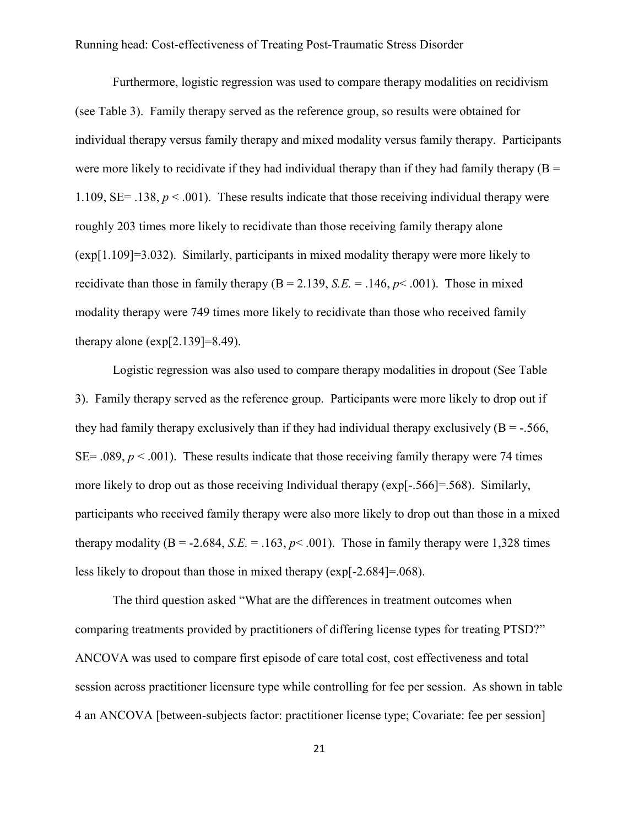Furthermore, logistic regression was used to compare therapy modalities on recidivism (see Table 3). Family therapy served as the reference group, so results were obtained for individual therapy versus family therapy and mixed modality versus family therapy. Participants were more likely to recidivate if they had individual therapy than if they had family therapy  $(B =$ 1.109,  $SE = .138$ ,  $p < .001$ ). These results indicate that those receiving individual therapy were roughly 203 times more likely to recidivate than those receiving family therapy alone (exp[1.109]=3.032). Similarly, participants in mixed modality therapy were more likely to recidivate than those in family therapy  $(B = 2.139, S.E. = 0.146, p < 0.001)$ . Those in mixed modality therapy were 749 times more likely to recidivate than those who received family therapy alone  $(exp[2.139]=8.49)$ .

Logistic regression was also used to compare therapy modalities in dropout (See Table 3). Family therapy served as the reference group. Participants were more likely to drop out if they had family therapy exclusively than if they had individual therapy exclusively  $(B = -0.566)$ ,  $SE = .089$ ,  $p < .001$ ). These results indicate that those receiving family therapy were 74 times more likely to drop out as those receiving Individual therapy (exp[-.566]=.568). Similarly, participants who received family therapy were also more likely to drop out than those in a mixed therapy modality ( $B = -2.684$ ,  $S.E. = 0.163$ ,  $p < 0.001$ ). Those in family therapy were 1,328 times less likely to dropout than those in mixed therapy (exp[-2.684]=.068).

The third question asked "What are the differences in treatment outcomes when comparing treatments provided by practitioners of differing license types for treating PTSD?" ANCOVA was used to compare first episode of care total cost, cost effectiveness and total session across practitioner licensure type while controlling for fee per session. As shown in table 4 an ANCOVA [between-subjects factor: practitioner license type; Covariate: fee per session]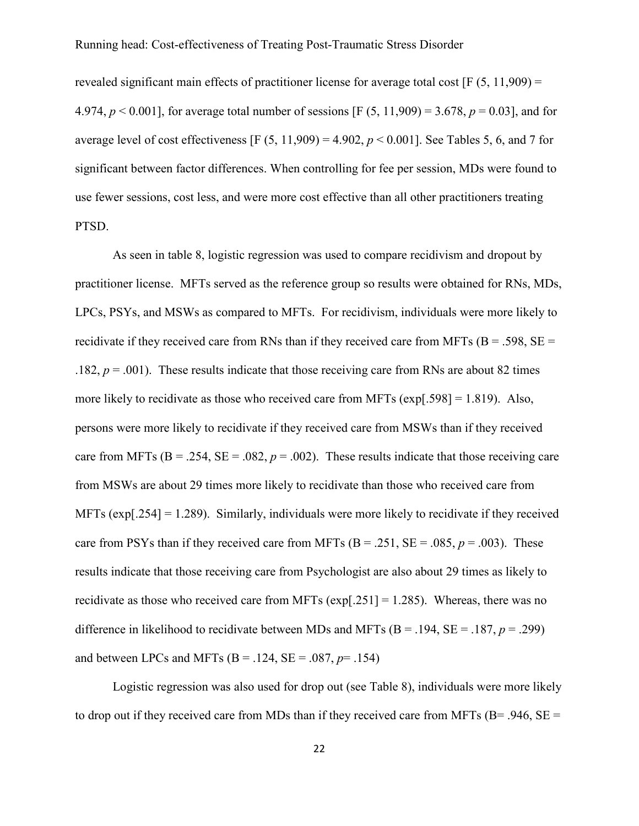revealed significant main effects of practitioner license for average total cost [F (5, 11,909) = 4.974, *p* < 0.001], for average total number of sessions [F (5, 11,909) = 3.678, *p* = 0.03], and for average level of cost effectiveness [F  $(5, 11,909) = 4.902$ ,  $p < 0.001$ ]. See Tables 5, 6, and 7 for significant between factor differences. When controlling for fee per session, MDs were found to use fewer sessions, cost less, and were more cost effective than all other practitioners treating PTSD.

As seen in table 8, logistic regression was used to compare recidivism and dropout by practitioner license. MFTs served as the reference group so results were obtained for RNs, MDs, LPCs, PSYs, and MSWs as compared to MFTs. For recidivism, individuals were more likely to recidivate if they received care from RNs than if they received care from MFTs ( $B = .598$ ,  $SE =$ .182,  $p = .001$ ). These results indicate that those receiving care from RNs are about 82 times more likely to recidivate as those who received care from MFTs (exp[.598] = 1.819). Also, persons were more likely to recidivate if they received care from MSWs than if they received care from MFTs  $(B = .254, SE = .082, p = .002)$ . These results indicate that those receiving care from MSWs are about 29 times more likely to recidivate than those who received care from MFTs (exp[.254] = 1.289). Similarly, individuals were more likely to recidivate if they received care from PSYs than if they received care from MFTs  $(B = .251, SE = .085, p = .003)$ . These results indicate that those receiving care from Psychologist are also about 29 times as likely to recidivate as those who received care from MFTs ( $exp[0.251] = 1.285$ ). Whereas, there was no difference in likelihood to recidivate between MDs and MFTs (B = .194, SE = .187, *p* = .299) and between LPCs and MFTs  $(B = .124, SE = .087, p = .154)$ 

Logistic regression was also used for drop out (see Table 8), individuals were more likely to drop out if they received care from MDs than if they received care from MFTs ( $B = .946$ ,  $SE =$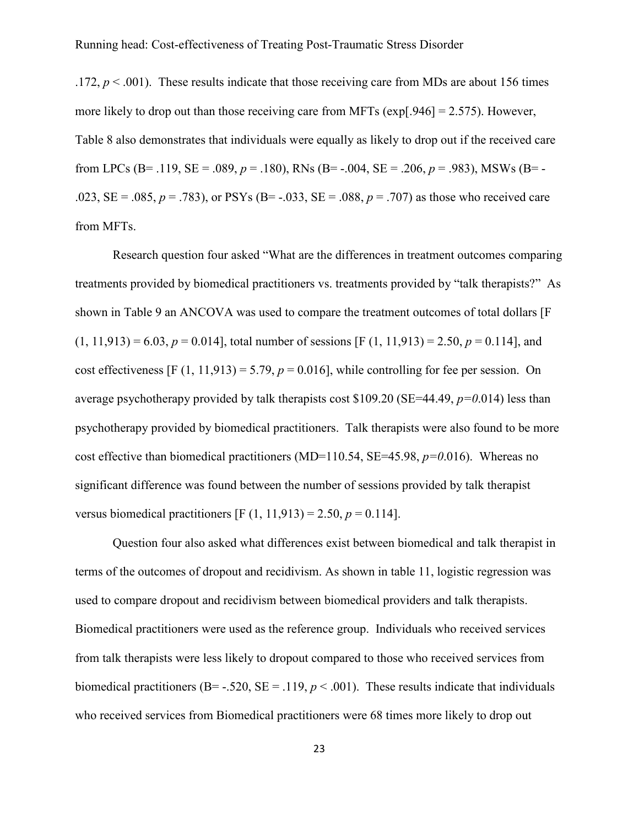.172,  $p < .001$ ). These results indicate that those receiving care from MDs are about 156 times more likely to drop out than those receiving care from MFTs (exp[.946] = 2.575). However, Table 8 also demonstrates that individuals were equally as likely to drop out if the received care from LPCs (B= .119, SE = .089,  $p = .180$ ), RNs (B= -.004, SE = .206,  $p = .983$ ), MSWs (B= -.023,  $SE = .085$ ,  $p = .783$ ), or PSYs ( $B = .033$ ,  $SE = .088$ ,  $p = .707$ ) as those who received care from MFTs.

Research question four asked "What are the differences in treatment outcomes comparing treatments provided by biomedical practitioners vs. treatments provided by "talk therapists?" As shown in Table 9 an ANCOVA was used to compare the treatment outcomes of total dollars [F  $(1, 11, 913) = 6.03$ ,  $p = 0.014$ , total number of sessions [F (1, 11,913) = 2.50,  $p = 0.114$ ], and cost effectiveness  $[F (1, 11, 913) = 5.79, p = 0.016]$ , while controlling for fee per session. On average psychotherapy provided by talk therapists cost \$109.20 (SE=44.49, *p=0*.014) less than psychotherapy provided by biomedical practitioners. Talk therapists were also found to be more cost effective than biomedical practitioners (MD=110.54, SE=45.98, *p=0*.016). Whereas no significant difference was found between the number of sessions provided by talk therapist versus biomedical practitioners [F  $(1, 11, 913) = 2.50$ ,  $p = 0.114$ ].

Question four also asked what differences exist between biomedical and talk therapist in terms of the outcomes of dropout and recidivism. As shown in table 11, logistic regression was used to compare dropout and recidivism between biomedical providers and talk therapists. Biomedical practitioners were used as the reference group. Individuals who received services from talk therapists were less likely to dropout compared to those who received services from biomedical practitioners (B= -.520, SE = .119,  $p < .001$ ). These results indicate that individuals who received services from Biomedical practitioners were 68 times more likely to drop out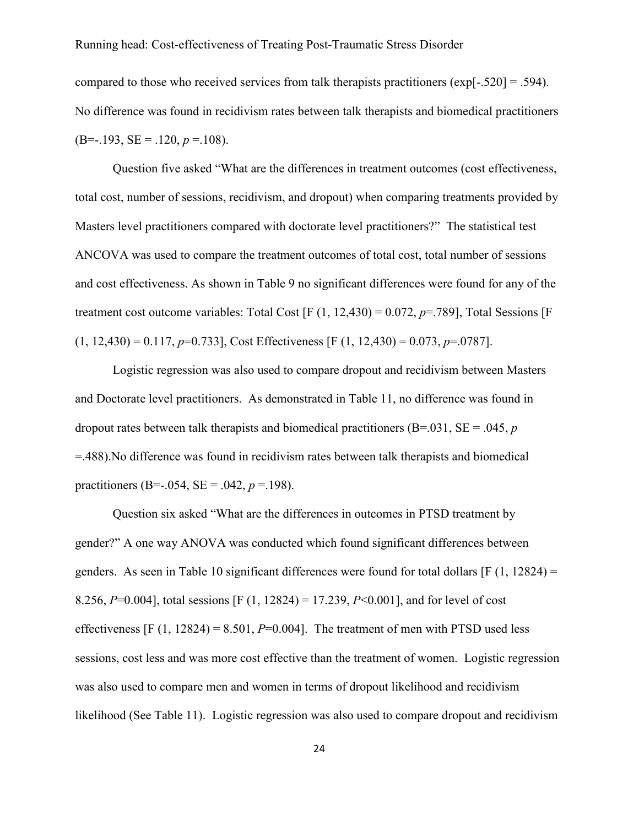compared to those who received services from talk therapists practitioners (exp[-.520] = .594). No difference was found in recidivism rates between talk therapists and biomedical practitioners  $(B=-.193, SE=.120, p=.108)$ .

Question five asked "What are the differences in treatment outcomes (cost effectiveness, total cost, number of sessions, recidivism, and dropout) when comparing treatments provided by Masters level practitioners compared with doctorate level practitioners?" The statistical test ANCOVA was used to compare the treatment outcomes of total cost, total number of sessions and cost effectiveness. As shown in Table 9 no significant differences were found for any of the treatment cost outcome variables: Total Cost  $[F (1, 12, 430) = 0.072, p = .789]$ , Total Sessions  $[F$  $(1, 12,430) = 0.117, p=0.733$ , Cost Effectiveness [F (1, 12,430) = 0.073, p=.0787].

Logistic regression was also used to compare dropout and recidivism between Masters and Doctorate level practitioners. As demonstrated in Table 11, no difference was found in dropout rates between talk therapists and biomedical practitioners (B=.031, SE = .045, *p* =.488).No difference was found in recidivism rates between talk therapists and biomedical practitioners (B=-.054, SE = .042,  $p = 198$ ).

Question six asked "What are the differences in outcomes in PTSD treatment by gender?" A one way ANOVA was conducted which found significant differences between genders. As seen in Table 10 significant differences were found for total dollars  $[F(1, 12824) =$ 8.256, *P*=0.004], total sessions [F (1, 12824) = 17.239, *P*<0.001], and for level of cost effectiveness  $[F (1, 12824) = 8.501, P=0.004]$ . The treatment of men with PTSD used less sessions, cost less and was more cost effective than the treatment of women. Logistic regression was also used to compare men and women in terms of dropout likelihood and recidivism likelihood (See Table 11). Logistic regression was also used to compare dropout and recidivism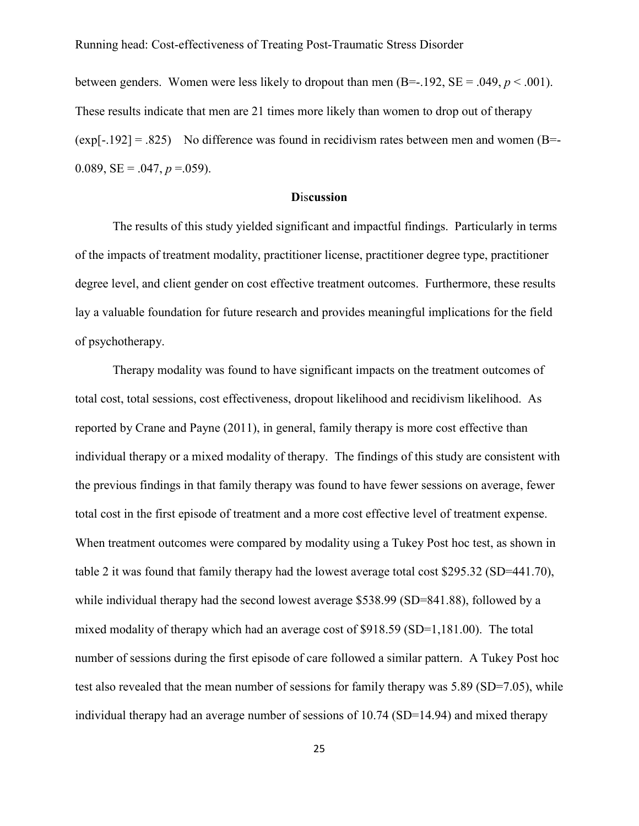between genders. Women were less likely to dropout than men  $(B=-192, SE = .049, p < .001)$ . These results indicate that men are 21 times more likely than women to drop out of therapy  $(exp[-.192] = .825)$  No difference was found in recidivism rates between men and women (B=-0.089,  $SE = .047$ ,  $p = .059$ ).

#### **D**is**cussion**

<span id="page-31-0"></span>The results of this study yielded significant and impactful findings. Particularly in terms of the impacts of treatment modality, practitioner license, practitioner degree type, practitioner degree level, and client gender on cost effective treatment outcomes. Furthermore, these results lay a valuable foundation for future research and provides meaningful implications for the field of psychotherapy.

Therapy modality was found to have significant impacts on the treatment outcomes of total cost, total sessions, cost effectiveness, dropout likelihood and recidivism likelihood. As reported by Crane and Payne (2011), in general, family therapy is more cost effective than individual therapy or a mixed modality of therapy. The findings of this study are consistent with the previous findings in that family therapy was found to have fewer sessions on average, fewer total cost in the first episode of treatment and a more cost effective level of treatment expense. When treatment outcomes were compared by modality using a Tukey Post hoc test, as shown in table 2 it was found that family therapy had the lowest average total cost \$295.32 (SD=441.70), while individual therapy had the second lowest average \$538.99 (SD=841.88), followed by a mixed modality of therapy which had an average cost of \$918.59 (SD=1,181.00). The total number of sessions during the first episode of care followed a similar pattern. A Tukey Post hoc test also revealed that the mean number of sessions for family therapy was 5.89 (SD=7.05), while individual therapy had an average number of sessions of 10.74 (SD=14.94) and mixed therapy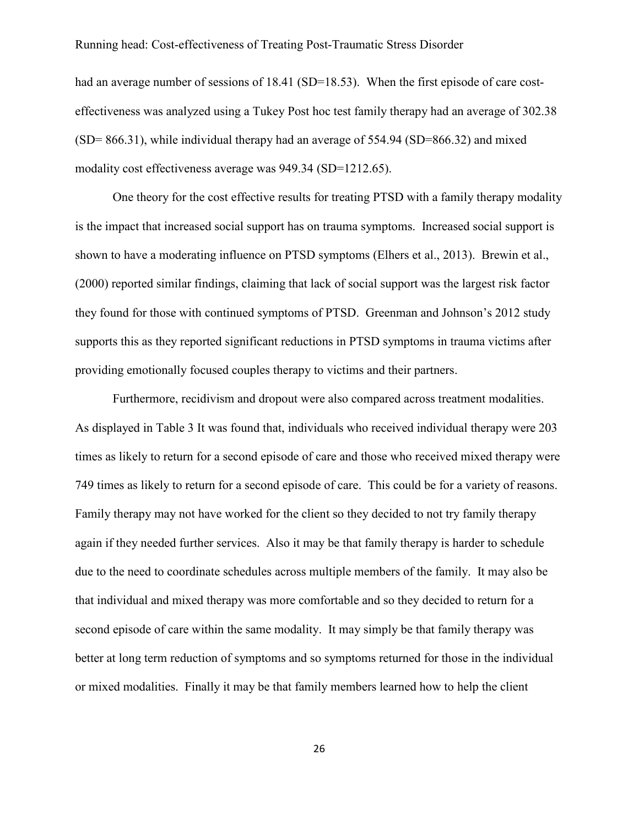had an average number of sessions of 18.41 (SD=18.53). When the first episode of care costeffectiveness was analyzed using a Tukey Post hoc test family therapy had an average of 302.38  $(SD= 866.31)$ , while individual therapy had an average of 554.94  $(SD= 866.32)$  and mixed modality cost effectiveness average was 949.34 (SD=1212.65).

One theory for the cost effective results for treating PTSD with a family therapy modality is the impact that increased social support has on trauma symptoms. Increased social support is shown to have a moderating influence on PTSD symptoms (Elhers et al., 2013). Brewin et al., (2000) reported similar findings, claiming that lack of social support was the largest risk factor they found for those with continued symptoms of PTSD. Greenman and Johnson's 2012 study supports this as they reported significant reductions in PTSD symptoms in trauma victims after providing emotionally focused couples therapy to victims and their partners.

Furthermore, recidivism and dropout were also compared across treatment modalities. As displayed in Table 3 It was found that, individuals who received individual therapy were 203 times as likely to return for a second episode of care and those who received mixed therapy were 749 times as likely to return for a second episode of care. This could be for a variety of reasons. Family therapy may not have worked for the client so they decided to not try family therapy again if they needed further services. Also it may be that family therapy is harder to schedule due to the need to coordinate schedules across multiple members of the family. It may also be that individual and mixed therapy was more comfortable and so they decided to return for a second episode of care within the same modality. It may simply be that family therapy was better at long term reduction of symptoms and so symptoms returned for those in the individual or mixed modalities. Finally it may be that family members learned how to help the client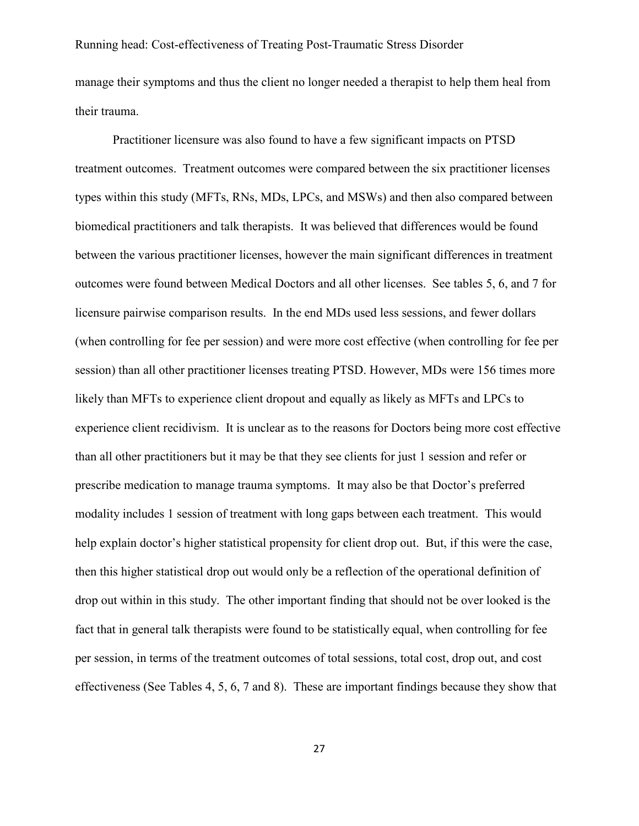manage their symptoms and thus the client no longer needed a therapist to help them heal from their trauma.

Practitioner licensure was also found to have a few significant impacts on PTSD treatment outcomes. Treatment outcomes were compared between the six practitioner licenses types within this study (MFTs, RNs, MDs, LPCs, and MSWs) and then also compared between biomedical practitioners and talk therapists. It was believed that differences would be found between the various practitioner licenses, however the main significant differences in treatment outcomes were found between Medical Doctors and all other licenses. See tables 5, 6, and 7 for licensure pairwise comparison results. In the end MDs used less sessions, and fewer dollars (when controlling for fee per session) and were more cost effective (when controlling for fee per session) than all other practitioner licenses treating PTSD. However, MDs were 156 times more likely than MFTs to experience client dropout and equally as likely as MFTs and LPCs to experience client recidivism. It is unclear as to the reasons for Doctors being more cost effective than all other practitioners but it may be that they see clients for just 1 session and refer or prescribe medication to manage trauma symptoms. It may also be that Doctor's preferred modality includes 1 session of treatment with long gaps between each treatment. This would help explain doctor's higher statistical propensity for client drop out. But, if this were the case, then this higher statistical drop out would only be a reflection of the operational definition of drop out within in this study. The other important finding that should not be over looked is the fact that in general talk therapists were found to be statistically equal, when controlling for fee per session, in terms of the treatment outcomes of total sessions, total cost, drop out, and cost effectiveness (See Tables 4, 5, 6, 7 and 8). These are important findings because they show that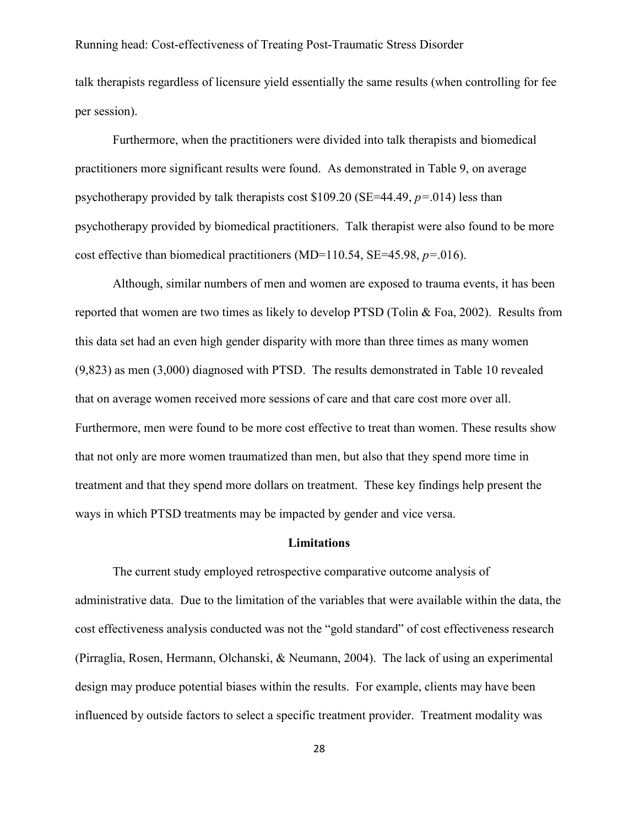talk therapists regardless of licensure yield essentially the same results (when controlling for fee per session).

Furthermore, when the practitioners were divided into talk therapists and biomedical practitioners more significant results were found. As demonstrated in Table 9, on average psychotherapy provided by talk therapists cost \$109.20 (SE=44.49, *p=*.014) less than psychotherapy provided by biomedical practitioners. Talk therapist were also found to be more cost effective than biomedical practitioners (MD=110.54, SE=45.98, *p=*.016).

Although, similar numbers of men and women are exposed to trauma events, it has been reported that women are two times as likely to develop PTSD (Tolin & Foa, 2002). Results from this data set had an even high gender disparity with more than three times as many women (9,823) as men (3,000) diagnosed with PTSD. The results demonstrated in Table 10 revealed that on average women received more sessions of care and that care cost more over all. Furthermore, men were found to be more cost effective to treat than women. These results show that not only are more women traumatized than men, but also that they spend more time in treatment and that they spend more dollars on treatment. These key findings help present the ways in which PTSD treatments may be impacted by gender and vice versa.

#### **Limitations**

<span id="page-34-0"></span>The current study employed retrospective comparative outcome analysis of administrative data. Due to the limitation of the variables that were available within the data, the cost effectiveness analysis conducted was not the "gold standard" of cost effectiveness research (Pirraglia, Rosen, Hermann, Olchanski, & Neumann, 2004). The lack of using an experimental design may produce potential biases within the results. For example, clients may have been influenced by outside factors to select a specific treatment provider. Treatment modality was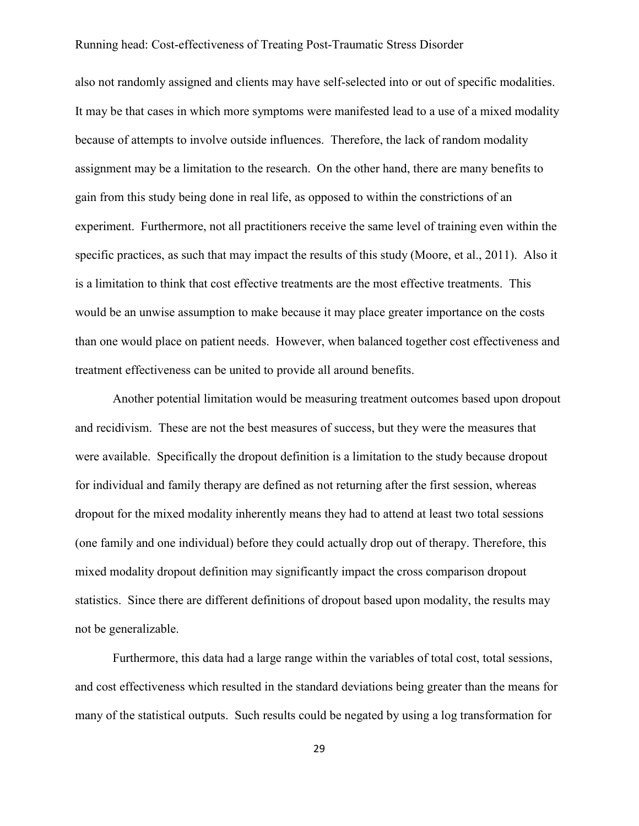also not randomly assigned and clients may have self-selected into or out of specific modalities. It may be that cases in which more symptoms were manifested lead to a use of a mixed modality because of attempts to involve outside influences. Therefore, the lack of random modality assignment may be a limitation to the research. On the other hand, there are many benefits to gain from this study being done in real life, as opposed to within the constrictions of an experiment. Furthermore, not all practitioners receive the same level of training even within the specific practices, as such that may impact the results of this study (Moore, et al., 2011). Also it is a limitation to think that cost effective treatments are the most effective treatments. This would be an unwise assumption to make because it may place greater importance on the costs than one would place on patient needs. However, when balanced together cost effectiveness and treatment effectiveness can be united to provide all around benefits.

Another potential limitation would be measuring treatment outcomes based upon dropout and recidivism. These are not the best measures of success, but they were the measures that were available. Specifically the dropout definition is a limitation to the study because dropout for individual and family therapy are defined as not returning after the first session, whereas dropout for the mixed modality inherently means they had to attend at least two total sessions (one family and one individual) before they could actually drop out of therapy. Therefore, this mixed modality dropout definition may significantly impact the cross comparison dropout statistics. Since there are different definitions of dropout based upon modality, the results may not be generalizable.

Furthermore, this data had a large range within the variables of total cost, total sessions, and cost effectiveness which resulted in the standard deviations being greater than the means for many of the statistical outputs. Such results could be negated by using a log transformation for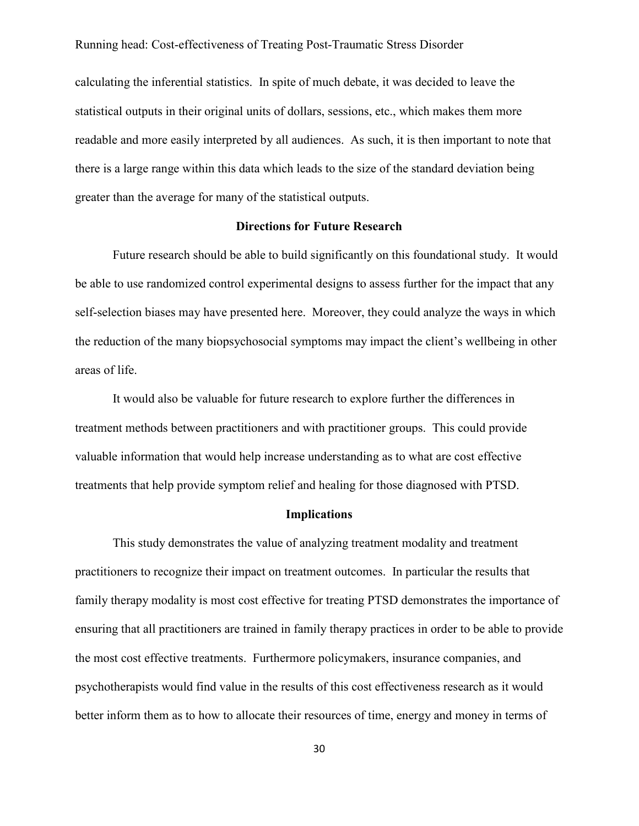calculating the inferential statistics. In spite of much debate, it was decided to leave the statistical outputs in their original units of dollars, sessions, etc., which makes them more readable and more easily interpreted by all audiences. As such, it is then important to note that there is a large range within this data which leads to the size of the standard deviation being greater than the average for many of the statistical outputs.

#### **Directions for Future Research**

<span id="page-36-0"></span>Future research should be able to build significantly on this foundational study. It would be able to use randomized control experimental designs to assess further for the impact that any self-selection biases may have presented here. Moreover, they could analyze the ways in which the reduction of the many biopsychosocial symptoms may impact the client's wellbeing in other areas of life.

It would also be valuable for future research to explore further the differences in treatment methods between practitioners and with practitioner groups. This could provide valuable information that would help increase understanding as to what are cost effective treatments that help provide symptom relief and healing for those diagnosed with PTSD.

#### **Implications**

<span id="page-36-1"></span>This study demonstrates the value of analyzing treatment modality and treatment practitioners to recognize their impact on treatment outcomes. In particular the results that family therapy modality is most cost effective for treating PTSD demonstrates the importance of ensuring that all practitioners are trained in family therapy practices in order to be able to provide the most cost effective treatments. Furthermore policymakers, insurance companies, and psychotherapists would find value in the results of this cost effectiveness research as it would better inform them as to how to allocate their resources of time, energy and money in terms of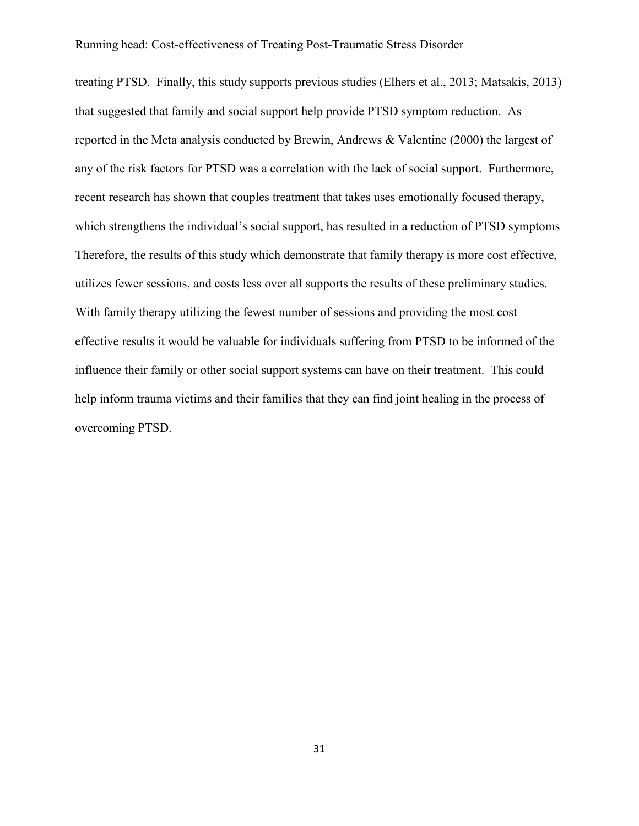treating PTSD. Finally, this study supports previous studies (Elhers et al., 2013; Matsakis, 2013) that suggested that family and social support help provide PTSD symptom reduction. As reported in the Meta analysis conducted by Brewin, Andrews & Valentine (2000) the largest of any of the risk factors for PTSD was a correlation with the lack of social support. Furthermore, recent research has shown that couples treatment that takes uses emotionally focused therapy, which strengthens the individual's social support, has resulted in a reduction of PTSD symptoms Therefore, the results of this study which demonstrate that family therapy is more cost effective, utilizes fewer sessions, and costs less over all supports the results of these preliminary studies. With family therapy utilizing the fewest number of sessions and providing the most cost effective results it would be valuable for individuals suffering from PTSD to be informed of the influence their family or other social support systems can have on their treatment. This could help inform trauma victims and their families that they can find joint healing in the process of overcoming PTSD.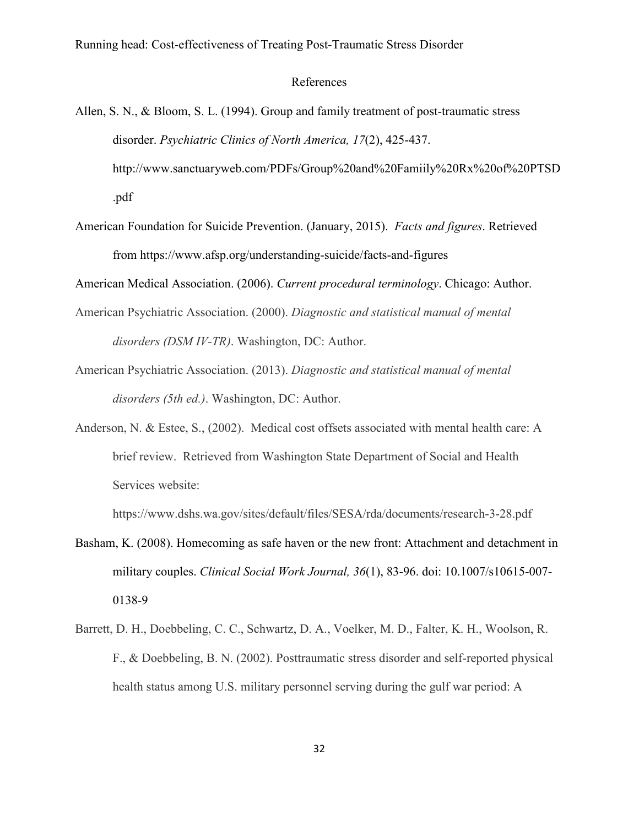#### References

<span id="page-38-0"></span>Allen, S. N., & Bloom, S. L. (1994). Group and family treatment of post-traumatic stress disorder. *Psychiatric Clinics of North America, 17*(2), 425-437. http://www.sanctuaryweb.com/PDFs/Group%20and%20Famiily%20Rx%20of%20PTSD

.pdf

American Foundation for Suicide Prevention. (January, 2015). *Facts and figures*. Retrieved from https://www.afsp.org/understanding-suicide/facts-and-figures

American Medical Association. (2006). *Current procedural terminology*. Chicago: Author.

- American Psychiatric Association. (2000). *Diagnostic and statistical manual of mental disorders (DSM IV-TR)*. Washington, DC: Author.
- American Psychiatric Association. (2013). *Diagnostic and statistical manual of mental disorders (5th ed.)*. Washington, DC: Author.
- Anderson, N. & Estee, S., (2002). Medical cost offsets associated with mental health care: A brief review. Retrieved from Washington State Department of Social and Health Services website:

https://www.dshs.wa.gov/sites/default/files/SESA/rda/documents/research-3-28.pdf

- Basham, K. (2008). Homecoming as safe haven or the new front: Attachment and detachment in military couples. *Clinical Social Work Journal, 36*(1), 83-96. doi: 10.1007/s10615-007- 0138-9
- Barrett, D. H., Doebbeling, C. C., Schwartz, D. A., Voelker, M. D., Falter, K. H., Woolson, R. F., & Doebbeling, B. N. (2002). Posttraumatic stress disorder and self-reported physical health status among U.S. military personnel serving during the gulf war period: A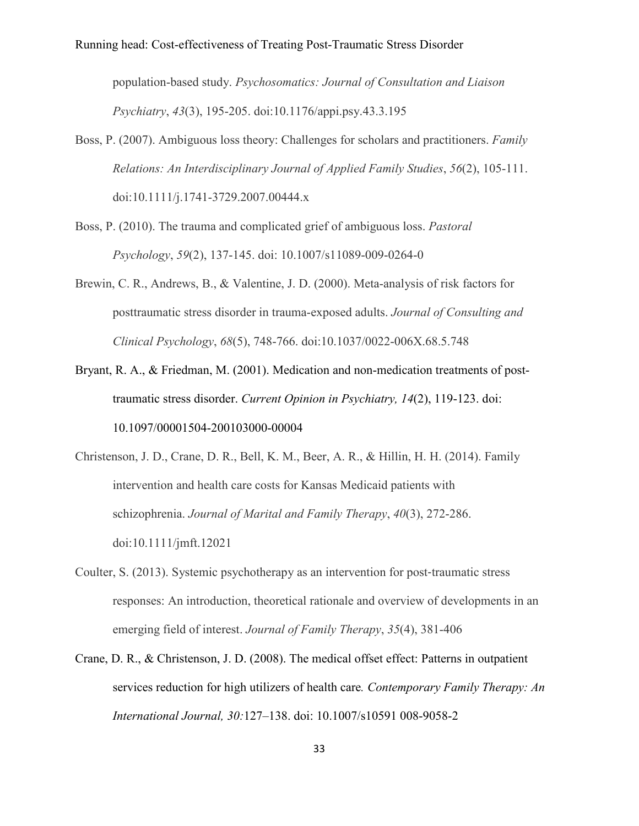population-based study. *Psychosomatics: Journal of Consultation and Liaison Psychiatry*, *43*(3), 195-205. doi:10.1176/appi.psy.43.3.195

- Boss, P. (2007). Ambiguous loss theory: Challenges for scholars and practitioners. *Family Relations: An Interdisciplinary Journal of Applied Family Studies*, *56*(2), 105-111. doi:10.1111/j.1741-3729.2007.00444.x
- Boss, P. (2010). The trauma and complicated grief of ambiguous loss. *Pastoral Psychology*, *59*(2), 137-145. doi: 10.1007/s11089-009-0264-0
- Brewin, C. R., Andrews, B., & Valentine, J. D. (2000). Meta-analysis of risk factors for posttraumatic stress disorder in trauma-exposed adults. *Journal of Consulting and Clinical Psychology*, *68*(5), 748-766. doi:10.1037/0022-006X.68.5.748
- Bryant, R. A., & Friedman, M. (2001). Medication and non-medication treatments of posttraumatic stress disorder. *Current Opinion in Psychiatry, 14*(2), 119-123. doi: 10.1097/00001504-200103000-00004
- Christenson, J. D., Crane, D. R., Bell, K. M., Beer, A. R., & Hillin, H. H. (2014). Family intervention and health care costs for Kansas Medicaid patients with schizophrenia. *Journal of Marital and Family Therapy*, *40*(3), 272-286. doi:10.1111/jmft.12021
- Coulter, S. (2013). Systemic psychotherapy as an intervention for post‐traumatic stress responses: An introduction, theoretical rationale and overview of developments in an emerging field of interest. *Journal of Family Therapy*, *35*(4), 381-406
- Crane, D. R., & Christenson, J. D. (2008). The medical offset effect: Patterns in outpatient services reduction for high utilizers of health care*. Contemporary Family Therapy: An International Journal, 30:*127–138. doi: 10.1007/s10591 008-9058-2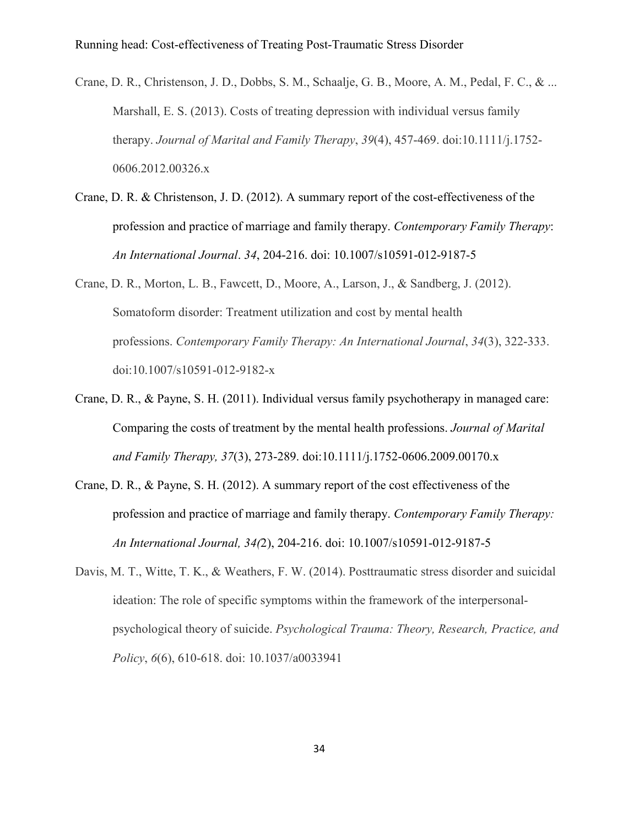- Crane, D. R., Christenson, J. D., Dobbs, S. M., Schaalje, G. B., Moore, A. M., Pedal, F. C., & ... Marshall, E. S. (2013). Costs of treating depression with individual versus family therapy. *Journal of Marital and Family Therapy*, *39*(4), 457-469. doi:10.1111/j.1752- 0606.2012.00326.x
- Crane, D. R. & Christenson, J. D. (2012). A summary report of the cost-effectiveness of the profession and practice of marriage and family therapy. *Contemporary Family Therapy*: *An International Journal*. *34*, 204-216. doi: 10.1007/s10591-012-9187-5
- Crane, D. R., Morton, L. B., Fawcett, D., Moore, A., Larson, J., & Sandberg, J. (2012). Somatoform disorder: Treatment utilization and cost by mental health professions. *Contemporary Family Therapy: An International Journal*, *34*(3), 322-333. doi:10.1007/s10591-012-9182-x
- Crane, D. R., & Payne, S. H. (2011). Individual versus family psychotherapy in managed care: Comparing the costs of treatment by the mental health professions. *Journal of Marital and Family Therapy, 37*(3), 273-289. doi:10.1111/j.1752-0606.2009.00170.x
- Crane, D. R., & Payne, S. H. (2012). A summary report of the cost effectiveness of the profession and practice of marriage and family therapy. *Contemporary Family Therapy: An International Journal, 34(*2), 204-216. doi: 10.1007/s10591-012-9187-5
- Davis, M. T., Witte, T. K., & Weathers, F. W. (2014). Posttraumatic stress disorder and suicidal ideation: The role of specific symptoms within the framework of the interpersonalpsychological theory of suicide. *Psychological Trauma: Theory, Research, Practice, and Policy*, *6*(6), 610-618. doi: 10.1037/a0033941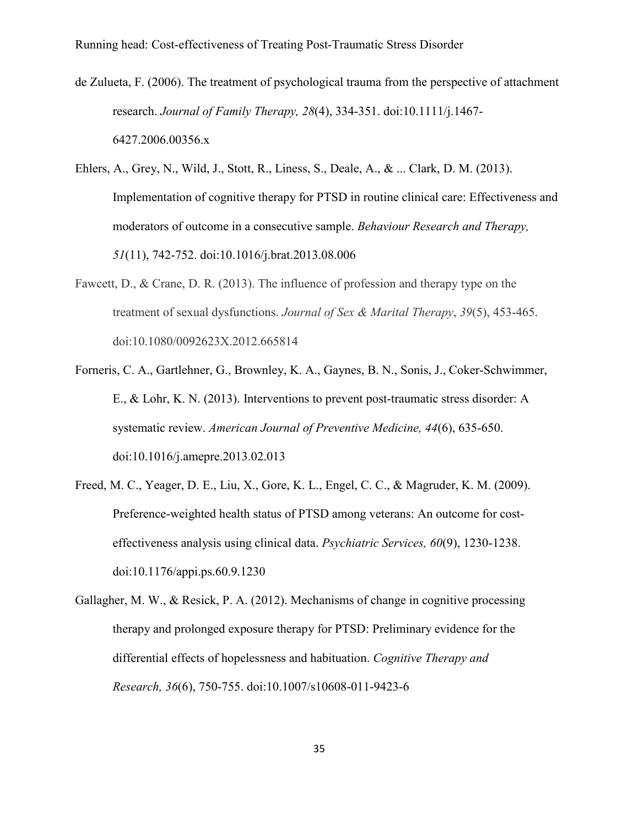- de Zulueta, F. (2006). The treatment of psychological trauma from the perspective of attachment research. *Journal of Family Therapy, 28*(4), 334-351. doi:10.1111/j.1467- 6427.2006.00356.x
- Ehlers, A., Grey, N., Wild, J., Stott, R., Liness, S., Deale, A., & ... Clark, D. M. (2013). Implementation of cognitive therapy for PTSD in routine clinical care: Effectiveness and moderators of outcome in a consecutive sample. *Behaviour Research and Therapy, 51*(11), 742-752. doi:10.1016/j.brat.2013.08.006
- Fawcett, D., & Crane, D. R. (2013). The influence of profession and therapy type on the treatment of sexual dysfunctions. *Journal of Sex & Marital Therapy*, *39*(5), 453-465. doi:10.1080/0092623X.2012.665814
- Forneris, C. A., Gartlehner, G., Brownley, K. A., Gaynes, B. N., Sonis, J., Coker-Schwimmer, E., & Lohr, K. N. (2013). Interventions to prevent post-traumatic stress disorder: A systematic review. *American Journal of Preventive Medicine, 44*(6), 635-650. doi:10.1016/j.amepre.2013.02.013
- Freed, M. C., Yeager, D. E., Liu, X., Gore, K. L., Engel, C. C., & Magruder, K. M. (2009). Preference-weighted health status of PTSD among veterans: An outcome for costeffectiveness analysis using clinical data. *Psychiatric Services, 60*(9), 1230-1238. doi:10.1176/appi.ps.60.9.1230
- Gallagher, M. W., & Resick, P. A. (2012). Mechanisms of change in cognitive processing therapy and prolonged exposure therapy for PTSD: Preliminary evidence for the differential effects of hopelessness and habituation. *Cognitive Therapy and Research, 36*(6), 750-755. doi:10.1007/s10608-011-9423-6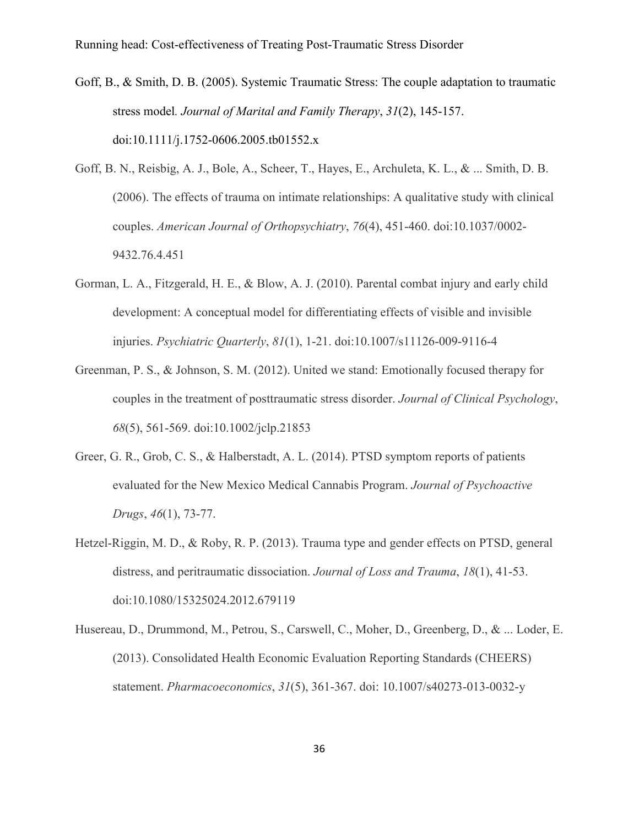- Goff, B., & Smith, D. B. (2005). Systemic Traumatic Stress: The couple adaptation to traumatic stress model*. Journal of Marital and Family Therapy*, *31*(2), 145-157. doi:10.1111/j.1752-0606.2005.tb01552.x
- Goff, B. N., Reisbig, A. J., Bole, A., Scheer, T., Hayes, E., Archuleta, K. L., & ... Smith, D. B. (2006). The effects of trauma on intimate relationships: A qualitative study with clinical couples. *American Journal of Orthopsychiatry*, *76*(4), 451-460. doi:10.1037/0002- 9432.76.4.451
- Gorman, L. A., Fitzgerald, H. E., & Blow, A. J. (2010). Parental combat injury and early child development: A conceptual model for differentiating effects of visible and invisible injuries. *Psychiatric Quarterly*, *81*(1), 1-21. doi:10.1007/s11126-009-9116-4
- Greenman, P. S., & Johnson, S. M. (2012). United we stand: Emotionally focused therapy for couples in the treatment of posttraumatic stress disorder. *Journal of Clinical Psychology*, *68*(5), 561-569. doi:10.1002/jclp.21853
- Greer, G. R., Grob, C. S., & Halberstadt, A. L. (2014). PTSD symptom reports of patients evaluated for the New Mexico Medical Cannabis Program. *Journal of Psychoactive Drugs*, *46*(1), 73-77.
- Hetzel-Riggin, M. D., & Roby, R. P. (2013). Trauma type and gender effects on PTSD, general distress, and peritraumatic dissociation. *Journal of Loss and Trauma*, *18*(1), 41-53. doi:10.1080/15325024.2012.679119
- Husereau, D., Drummond, M., Petrou, S., Carswell, C., Moher, D., Greenberg, D., & ... Loder, E. (2013). Consolidated Health Economic Evaluation Reporting Standards (CHEERS) statement. *Pharmacoeconomics*, *31*(5), 361-367. doi: 10.1007/s40273-013-0032-y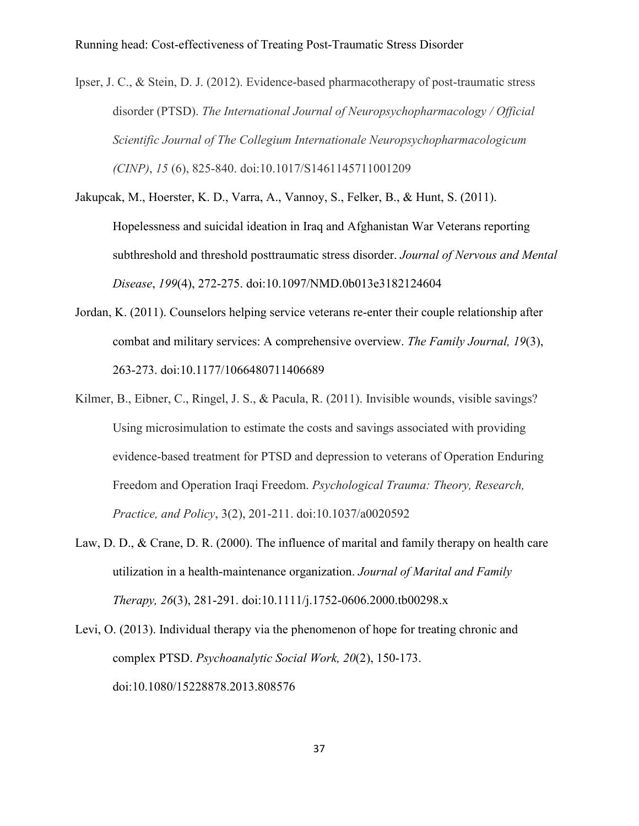Ipser, J. C., & Stein, D. J. (2012). Evidence-based pharmacotherapy of post-traumatic stress disorder (PTSD). *The International Journal of Neuropsychopharmacology / Official Scientific Journal of The Collegium Internationale Neuropsychopharmacologicum (CINP)*, *15* (6), 825-840. doi:10.1017/S1461145711001209

- Jakupcak, M., Hoerster, K. D., Varra, A., Vannoy, S., Felker, B., & Hunt, S. (2011). Hopelessness and suicidal ideation in Iraq and Afghanistan War Veterans reporting subthreshold and threshold posttraumatic stress disorder. *Journal of Nervous and Mental Disease*, *199*(4), 272-275. doi:10.1097/NMD.0b013e3182124604
- Jordan, K. (2011). Counselors helping service veterans re-enter their couple relationship after combat and military services: A comprehensive overview. *The Family Journal, 19*(3), 263-273. doi:10.1177/1066480711406689
- Kilmer, B., Eibner, C., Ringel, J. S., & Pacula, R. (2011). Invisible wounds, visible savings? Using microsimulation to estimate the costs and savings associated with providing evidence-based treatment for PTSD and depression to veterans of Operation Enduring Freedom and Operation Iraqi Freedom. *Psychological Trauma: Theory, Research, Practice, and Policy*, 3(2), 201-211. doi:10.1037/a0020592
- Law, D. D., & Crane, D. R. (2000). The influence of marital and family therapy on health care utilization in a health-maintenance organization. *Journal of Marital and Family Therapy, 26*(3), 281-291. doi:10.1111/j.1752-0606.2000.tb00298.x
- Levi, O. (2013). Individual therapy via the phenomenon of hope for treating chronic and complex PTSD. *Psychoanalytic Social Work, 20*(2), 150-173. doi:10.1080/15228878.2013.808576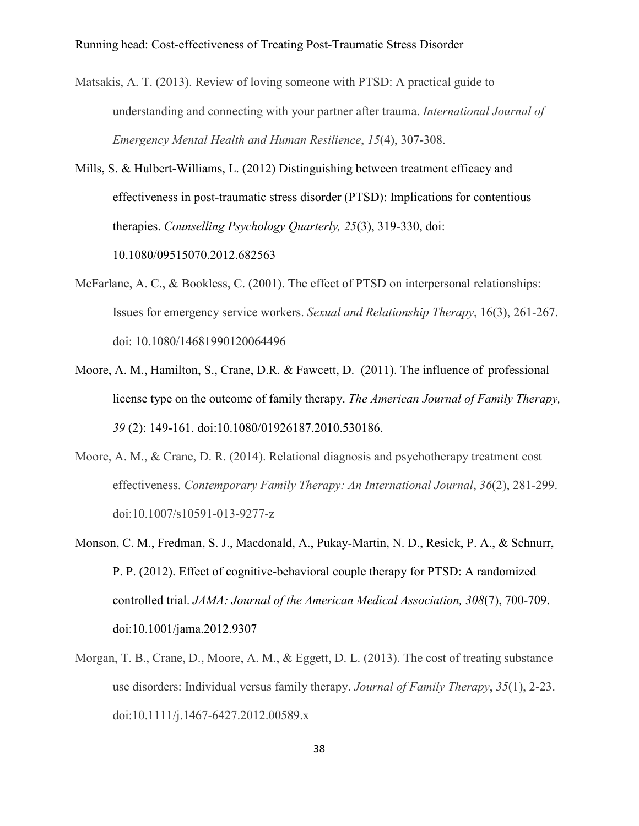- Matsakis, A. T. (2013). Review of loving someone with PTSD: A practical guide to understanding and connecting with your partner after trauma. *International Journal of Emergency Mental Health and Human Resilience*, *15*(4), 307-308.
- Mills, S. & Hulbert-Williams, L. (2012) Distinguishing between treatment efficacy and effectiveness in post-traumatic stress disorder (PTSD): Implications for contentious therapies. *Counselling Psychology Quarterly, 25*(3), 319-330, doi: 10.1080/09515070.2012.682563
- McFarlane, A. C., & Bookless, C. (2001). The effect of PTSD on interpersonal relationships: Issues for emergency service workers. *Sexual and Relationship Therapy*, 16(3), 261-267. doi: 10.1080/14681990120064496
- Moore, A. M., Hamilton, S., Crane, D.R. & Fawcett, D. (2011). The influence of professional license type on the outcome of family therapy. *The American Journal of Family Therapy, 39* (2): 149-161. doi:10.1080/01926187.2010.530186.
- Moore, A. M., & Crane, D. R. (2014). Relational diagnosis and psychotherapy treatment cost effectiveness. *Contemporary Family Therapy: An International Journal*, *36*(2), 281-299. doi:10.1007/s10591-013-9277-z
- Monson, C. M., Fredman, S. J., Macdonald, A., Pukay-Martin, N. D., Resick, P. A., & Schnurr, P. P. (2012). Effect of cognitive-behavioral couple therapy for PTSD: A randomized controlled trial. *JAMA: Journal of the American Medical Association, 308*(7), 700-709. doi:10.1001/jama.2012.9307
- Morgan, T. B., Crane, D., Moore, A. M., & Eggett, D. L. (2013). The cost of treating substance use disorders: Individual versus family therapy. *Journal of Family Therapy*, *35*(1), 2-23. doi:10.1111/j.1467-6427.2012.00589.x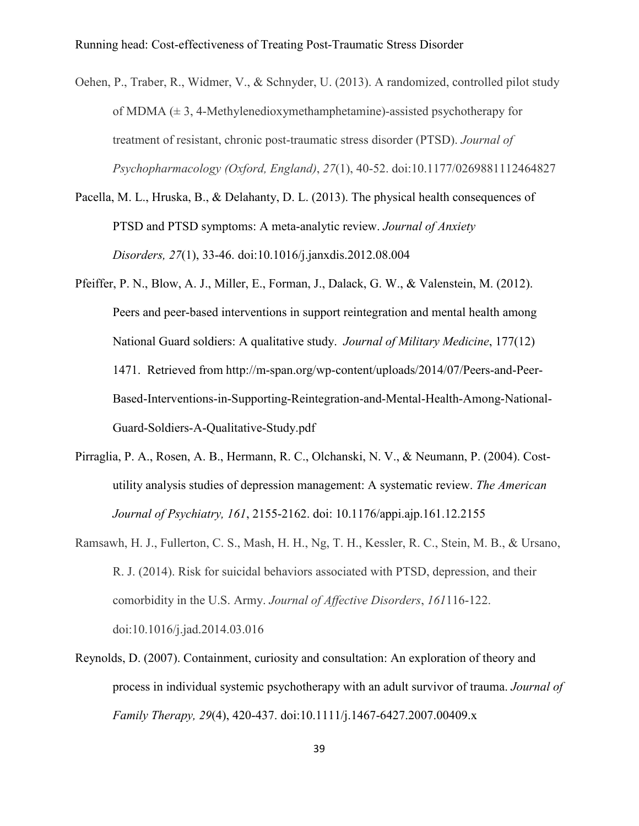Oehen, P., Traber, R., Widmer, V., & Schnyder, U. (2013). A randomized, controlled pilot study of MDMA  $(\pm 3, 4$ -Methylenedioxymethamphetamine)-assisted psychotherapy for treatment of resistant, chronic post-traumatic stress disorder (PTSD). *Journal of Psychopharmacology (Oxford, England)*, *27*(1), 40-52. doi:10.1177/0269881112464827

- Pacella, M. L., Hruska, B., & Delahanty, D. L. (2013). The physical health consequences of PTSD and PTSD symptoms: A meta-analytic review. *Journal of Anxiety Disorders, 27*(1), 33-46. doi:10.1016/j.janxdis.2012.08.004
- Pfeiffer, P. N., Blow, A. J., Miller, E., Forman, J., Dalack, G. W., & Valenstein, M. (2012). Peers and peer-based interventions in support reintegration and mental health among National Guard soldiers: A qualitative study. *Journal of Military Medicine*, 177(12) 1471. Retrieved from http://m-span.org/wp-content/uploads/2014/07/Peers-and-Peer-Based-Interventions-in-Supporting-Reintegration-and-Mental-Health-Among-National-Guard-Soldiers-A-Qualitative-Study.pdf
- Pirraglia, P. A., Rosen, A. B., Hermann, R. C., Olchanski, N. V., & Neumann, P. (2004). Costutility analysis studies of depression management: A systematic review. *The American Journal of Psychiatry, 161*, 2155-2162. doi: 10.1176/appi.ajp.161.12.2155
- Ramsawh, H. J., Fullerton, C. S., Mash, H. H., Ng, T. H., Kessler, R. C., Stein, M. B., & Ursano, R. J. (2014). Risk for suicidal behaviors associated with PTSD, depression, and their comorbidity in the U.S. Army. *Journal of Affective Disorders*, *161*116-122. doi:10.1016/j.jad.2014.03.016
- Reynolds, D. (2007). Containment, curiosity and consultation: An exploration of theory and process in individual systemic psychotherapy with an adult survivor of trauma. *Journal of Family Therapy, 29*(4), 420-437. doi:10.1111/j.1467-6427.2007.00409.x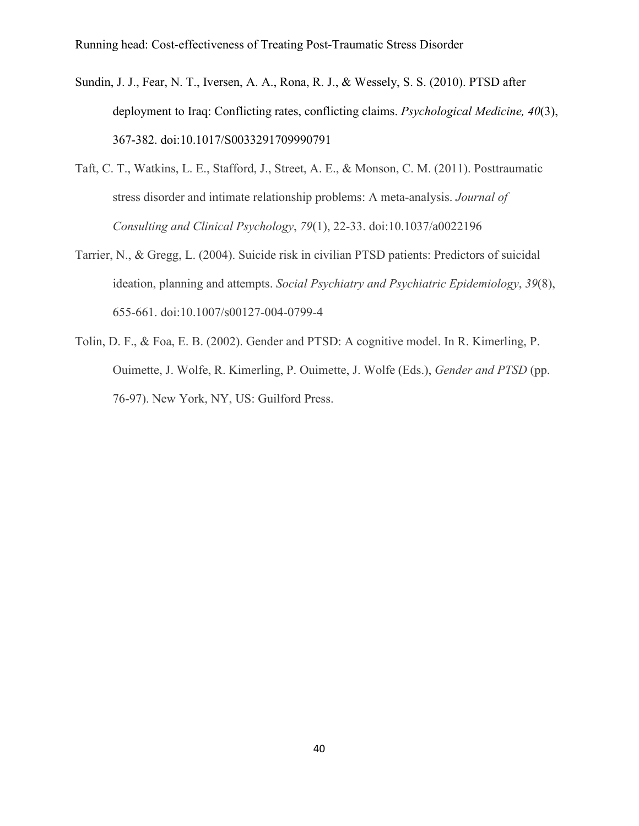- Sundin, J. J., Fear, N. T., Iversen, A. A., Rona, R. J., & Wessely, S. S. (2010). PTSD after deployment to Iraq: Conflicting rates, conflicting claims. *Psychological Medicine, 40*(3), 367-382. doi:10.1017/S0033291709990791
- Taft, C. T., Watkins, L. E., Stafford, J., Street, A. E., & Monson, C. M. (2011). Posttraumatic stress disorder and intimate relationship problems: A meta-analysis. *Journal of Consulting and Clinical Psychology*, *79*(1), 22-33. doi:10.1037/a0022196
- Tarrier, N., & Gregg, L. (2004). Suicide risk in civilian PTSD patients: Predictors of suicidal ideation, planning and attempts. *Social Psychiatry and Psychiatric Epidemiology*, *39*(8), 655-661. doi:10.1007/s00127-004-0799-4
- Tolin, D. F., & Foa, E. B. (2002). Gender and PTSD: A cognitive model. In R. Kimerling, P. Ouimette, J. Wolfe, R. Kimerling, P. Ouimette, J. Wolfe (Eds.), *Gender and PTSD* (pp. 76-97). New York, NY, US: Guilford Press.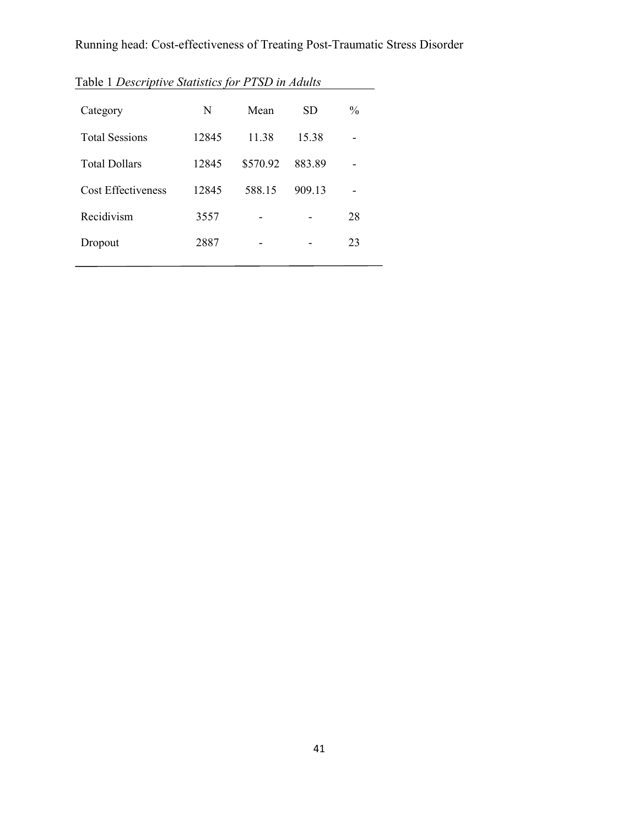| Table 1 Descriptive Statistics for PTSD in Adults |       |          |           |               |
|---------------------------------------------------|-------|----------|-----------|---------------|
| Category                                          | N     | Mean     | <b>SD</b> | $\frac{0}{0}$ |
| <b>Total Sessions</b>                             | 12845 | 11 38    | 15.38     |               |
| <b>Total Dollars</b>                              | 12845 | \$570.92 | 883.89    |               |
| <b>Cost Effectiveness</b>                         | 12845 | 588.15   | 909.13    |               |
| Recidivism                                        | 3557  |          |           | 28            |
| Dropout                                           | 2887  |          |           | 23            |
|                                                   |       |          |           |               |

Table 1 *Descriptive Statistics for PTSD in Adults*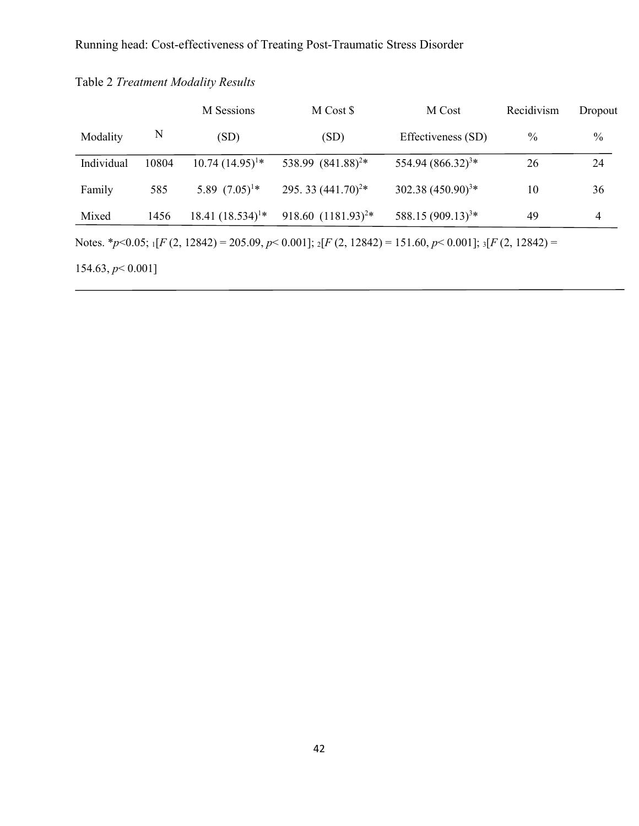|                                                                                                                                 |       | M Sessions            | M Cost \$                     | M Cost                        | Recidivism    | Dropout        |  |  |  |  |
|---------------------------------------------------------------------------------------------------------------------------------|-------|-----------------------|-------------------------------|-------------------------------|---------------|----------------|--|--|--|--|
| Modality                                                                                                                        | N     | (SD)                  | (SD)                          | Effectiveness (SD)            | $\frac{0}{0}$ | $\frac{0}{0}$  |  |  |  |  |
| Individual                                                                                                                      | 10804 | $10.74(14.95)^{1*}$   | 538.99 (841.88) <sup>2*</sup> | 554.94 (866.32) <sup>3*</sup> | 26            | 24             |  |  |  |  |
| Family                                                                                                                          | 585   | 5.89 $(7.05)^{1*}$    | 295.33 $(441.70)^{2*}$        | $302.38 (450.90)^{3*}$        | 10            | 36             |  |  |  |  |
| Mixed                                                                                                                           | 1456  | 18.41 $(18.534)^{1*}$ | 918.60 $(1181.93)^{2*}$       | 588.15 (909.13) <sup>3*</sup> | 49            | $\overline{4}$ |  |  |  |  |
| Notes. * $p$ < 0.05; $_1$ [F (2, 12842) = 205.09, $p$ < 0.001]; $_2$ [F (2, 12842) = 151.60, $p$ < 0.001]; $_3$ [F (2, 12842) = |       |                       |                               |                               |               |                |  |  |  |  |
| 154.63, $p < 0.001$ ]                                                                                                           |       |                       |                               |                               |               |                |  |  |  |  |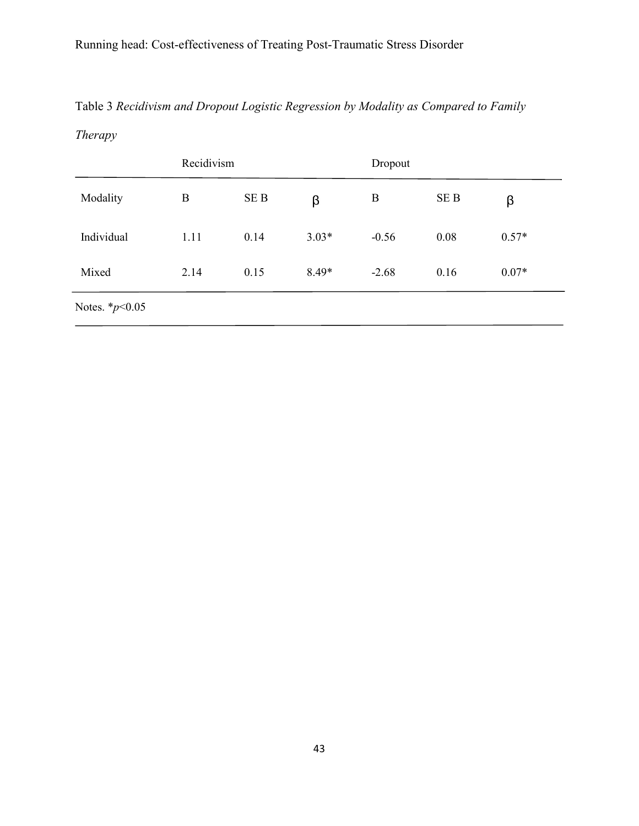# Table 3 *Recidivism and Dropout Logistic Regression by Modality as Compared to Family*

*Therapy*

|                     | Recidivism |      |         | Dropout |                 |         |
|---------------------|------------|------|---------|---------|-----------------|---------|
| Modality            | B          | SE B | β       | B       | SE <sub>B</sub> | β       |
| Individual          | 1.11       | 0.14 | $3.03*$ | $-0.56$ | 0.08            | $0.57*$ |
| Mixed               | 2.14       | 0.15 | $8.49*$ | $-2.68$ | 0.16            | $0.07*$ |
| Notes. $*_{p<0.05}$ |            |      |         |         |                 |         |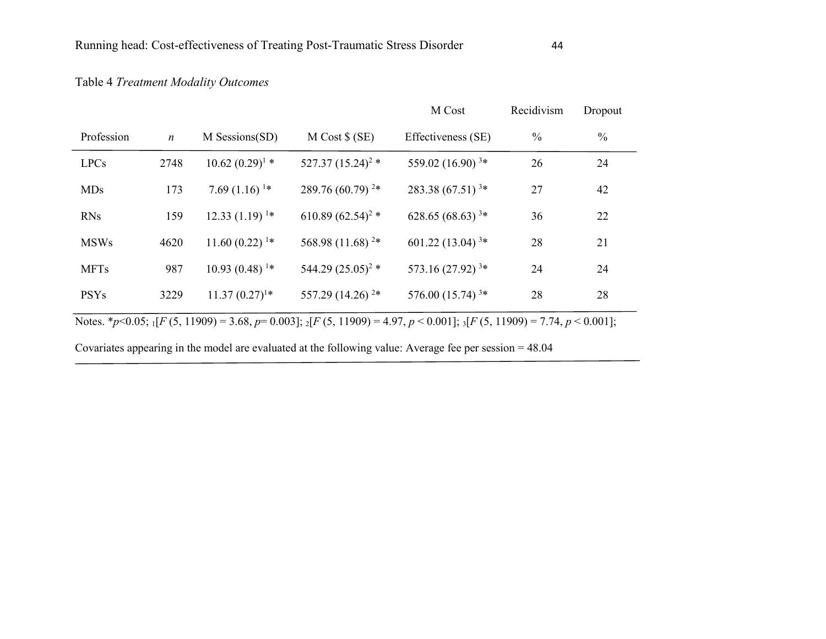## Table 4 *Treatment Modality Outcomes*

|             |                  |                             |                              | M Cost                                                                                                                                       | Recidivism    | Dropout       |
|-------------|------------------|-----------------------------|------------------------------|----------------------------------------------------------------------------------------------------------------------------------------------|---------------|---------------|
| Profession  | $\boldsymbol{n}$ | M Sessions(SD)              | $M Cost$ \$ (SE)             | Effectiveness (SE)                                                                                                                           | $\frac{0}{0}$ | $\frac{0}{0}$ |
| <b>LPCs</b> | 2748             | $10.62 (0.29)^{1}$ *        | 527.37 $(15.24)^2$ *         | 559.02 (16.90) $3*$                                                                                                                          | 26            | 24            |
| <b>MDs</b>  | 173              | 7.69 $(1.16)$ <sup>1*</sup> | 289.76 $(60.79)^2*$          | $283.38(67.51)^{3*}$                                                                                                                         | 27            | 42            |
| <b>RNs</b>  | 159              | $12.33(1.19)^{1*}$          | 610.89 $(62.54)^2$ *         | $628.65(68.63)^{3*}$                                                                                                                         | 36            | 22            |
| <b>MSWs</b> | 4620             | $11.60(0.22)^{1*}$          | 568.98 (11.68) <sup>2*</sup> | 601.22 (13.04) $3*$                                                                                                                          | 28            | 21            |
| <b>MFTs</b> | 987              | $10.93(0.48)^{1*}$          | 544.29 $(25.05)^2$ *         | 573.16 $(27.92)^{3*}$                                                                                                                        | 24            | 24            |
| <b>PSYs</b> | 3229             | $11.37(0.27)^{1*}$          | 557.29 (14.26) <sup>2*</sup> | 576.00 $(15.74)^{3*}$                                                                                                                        | 28            | 28            |
|             |                  |                             |                              | Notes. *p<0.05; ${}_{1}[F(5, 11909) = 3.68, p= 0.003]$ ; ${}_{2}[F(5, 11909) = 4.97, p < 0.001]$ ; ${}_{3}[F(5, 11909) = 7.74, p < 0.001]$ ; |               |               |

Covariates appearing in the model are evaluated at the following value: Average fee per session = 48.04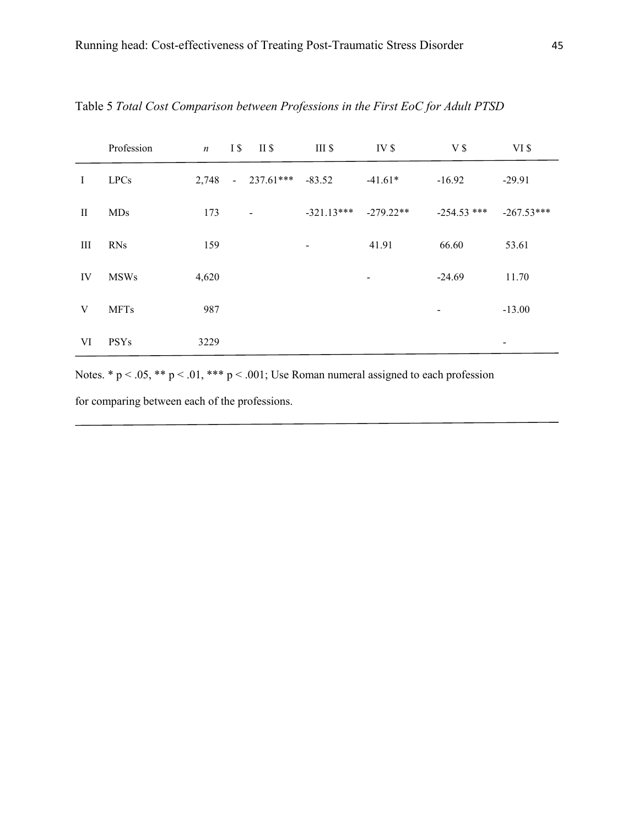|              | Profession  | $\boldsymbol{n}$ | I \$ | II \$                    | III <sub>s</sub> | IV <sub>s</sub>          | V <sub>s</sub> | $VI$ \$      |
|--------------|-------------|------------------|------|--------------------------|------------------|--------------------------|----------------|--------------|
| Ι            | <b>LPCs</b> | 2,748            |      | $-237.61***$             | $-83.52$         | $-41.61*$                | $-16.92$       | $-29.91$     |
| $\mathbf{I}$ | <b>MDs</b>  | 173              |      | $\overline{\phantom{a}}$ | $-321.13***$     | $-279.22**$              | $-254.53$ ***  | $-267.53***$ |
| III          | <b>RNs</b>  | 159              |      |                          |                  | 41.91                    | 66.60          | 53.61        |
| IV           | <b>MSWs</b> | 4,620            |      |                          |                  | $\overline{\phantom{a}}$ | $-24.69$       | 11.70        |
| V            | <b>MFTs</b> | 987              |      |                          |                  |                          | $\blacksquare$ | $-13.00$     |
| VI           | <b>PSYs</b> | 3229             |      |                          |                  |                          |                | -            |

Table 5 *Total Cost Comparison between Professions in the First EoC for Adult PTSD*

Notes. \*  $p < .05$ , \*\*  $p < .01$ , \*\*\*  $p < .001$ ; Use Roman numeral assigned to each profession

for comparing between each of the professions.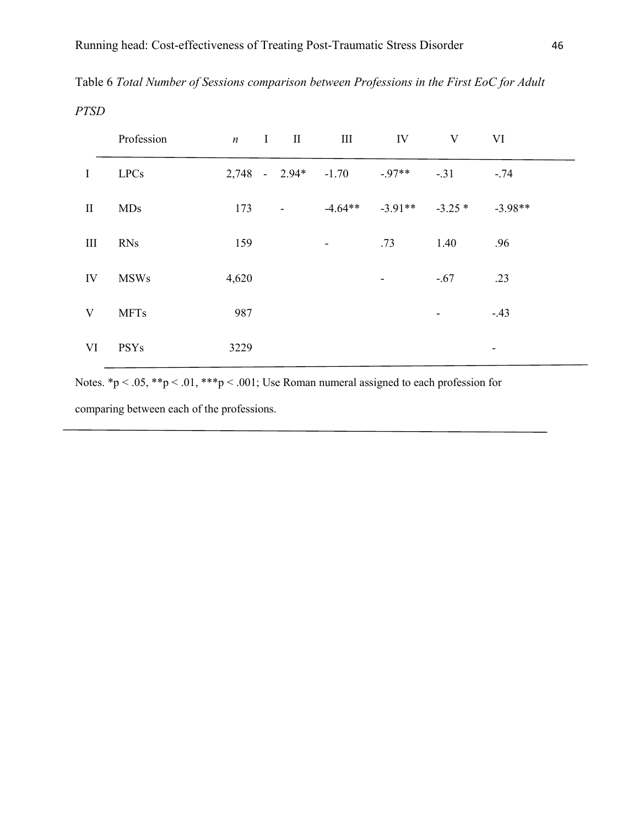| Table 6 Total Number of Sessions comparison between Professions in the First EoC for Adult |
|--------------------------------------------------------------------------------------------|
| <b>PTSD</b>                                                                                |

|              | Profession  |       | $n \quad I \quad II$  | $\mathbf{III}$           | IV                            | V      | VI        |
|--------------|-------------|-------|-----------------------|--------------------------|-------------------------------|--------|-----------|
| $\bf{I}$     | <b>LPCs</b> |       | $2,748 - 2.94* -1.70$ |                          | $-97**$                       | $-31$  | $-.74$    |
| $\mathbf{I}$ | <b>MDs</b>  | 173   | $\blacksquare$        |                          | $-4.64***$ $-3.91**$ $-3.25*$ |        | $-3.98**$ |
| Ш            | <b>RNs</b>  | 159   |                       | $\overline{\phantom{a}}$ | .73                           | 1.40   | .96       |
| IV           | <b>MSWs</b> | 4,620 |                       |                          | $\overline{\phantom{a}}$      | $-.67$ | .23       |
| V            | <b>MFTs</b> | 987   |                       |                          |                               |        | $-.43$    |
| VI           | <b>PSYs</b> | 3229  |                       |                          |                               |        | ٠         |

Notes. \*p < .05, \*\*p < .01, \*\*\*p < .001; Use Roman numeral assigned to each profession for

comparing between each of the professions.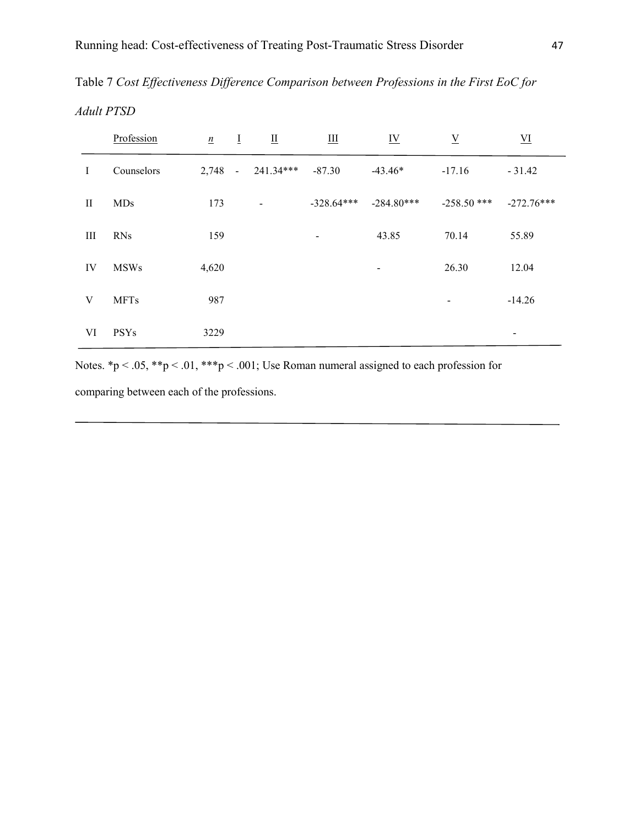Table 7 *Cost Effectiveness Difference Comparison between Professions in the First EoC for Adult PTSD*

|          | Profession  | $\underline{n}$ | $\overline{I}$ | $\mathbf{\underline{II}}$ | $\underline{\text{III}}$ | $\underline{\mathbf{IV}}$ | $\underline{V}$          | $\underline{\text{VI}}$ |
|----------|-------------|-----------------|----------------|---------------------------|--------------------------|---------------------------|--------------------------|-------------------------|
| Ι        | Counselors  | $2,748 -$       |                | 241.34***                 | $-87.30$                 | $-43.46*$                 | $-17.16$                 | $-31.42$                |
| $\rm II$ | <b>MDs</b>  | 173             |                | $\overline{\phantom{a}}$  | $-328.64***$             | $-284.80***$              | $-258.50$ ***            | $-272.76***$            |
| III      | <b>RNs</b>  | 159             |                |                           | $\overline{\phantom{a}}$ | 43.85                     | 70.14                    | 55.89                   |
| IV       | <b>MSWs</b> | 4,620           |                |                           |                          | -                         | 26.30                    | 12.04                   |
| V        | <b>MFTs</b> | 987             |                |                           |                          |                           | $\overline{\phantom{a}}$ | $-14.26$                |
| VI       | <b>PSYs</b> | 3229            |                |                           |                          |                           |                          | $\,$                    |

Notes. \*p < .05, \*\*p < .01, \*\*\*p < .001; Use Roman numeral assigned to each profession for

comparing between each of the professions.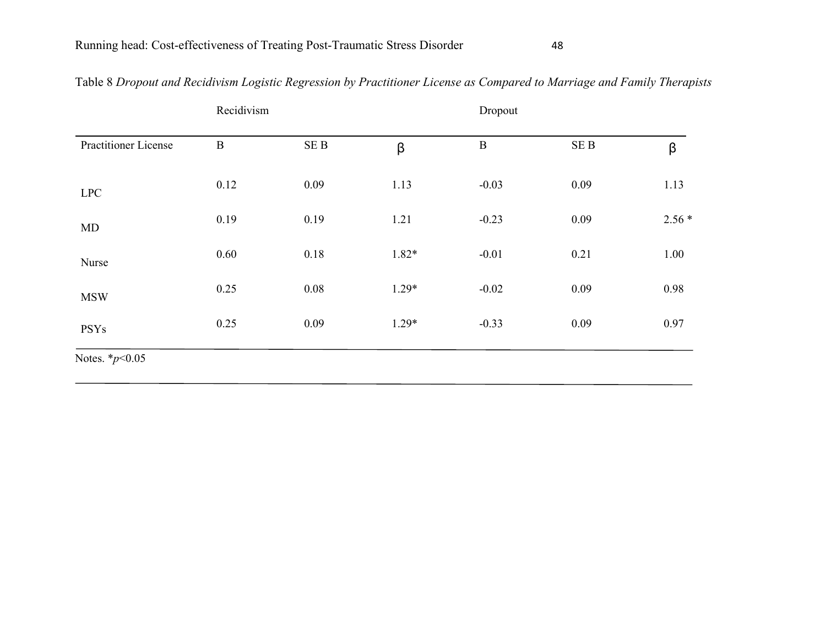|                             |             | Recidivism<br>Dropout |         |          |            |         |
|-----------------------------|-------------|-----------------------|---------|----------|------------|---------|
| <b>Practitioner License</b> | $\mathbf B$ | $\rm SE~B$            | β       | $\bf{B}$ | $\rm SE~B$ | β       |
| <b>LPC</b>                  | 0.12        | 0.09                  | 1.13    | $-0.03$  | 0.09       | 1.13    |
| MD                          | 0.19        | 0.19                  | 1.21    | $-0.23$  | 0.09       | $2.56*$ |
| Nurse                       | 0.60        | 0.18                  | $1.82*$ | $-0.01$  | 0.21       | 1.00    |
| <b>MSW</b>                  | 0.25        | 0.08                  | $1.29*$ | $-0.02$  | 0.09       | 0.98    |
| <b>PSYs</b>                 | 0.25        | 0.09                  | $1.29*$ | $-0.33$  | 0.09       | 0.97    |
| Notes. $*_{p<0.05}$         |             |                       |         |          |            |         |

## Table 8 *Dropout and Recidivism Logistic Regression by Practitioner License as Compared to Marriage and Family Therapists*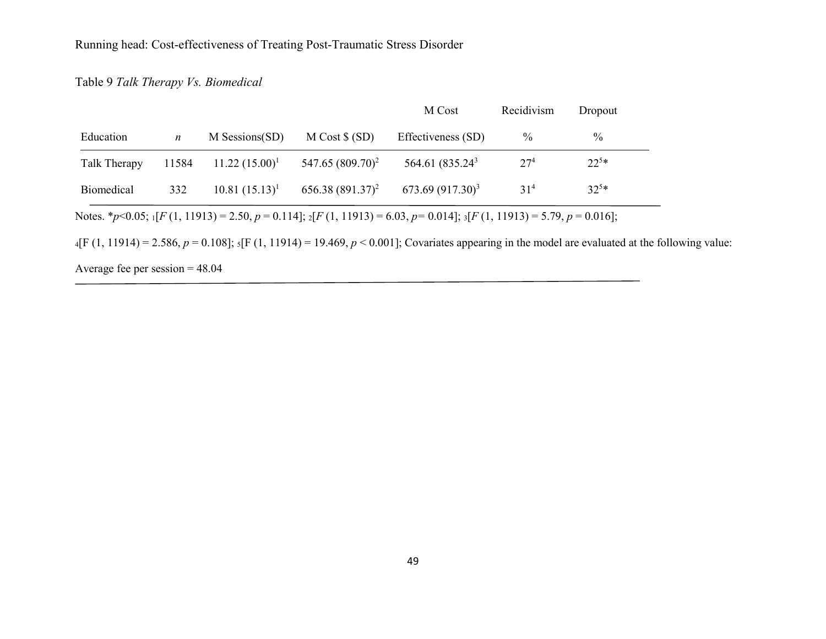### Table 9 *Talk Therapy Vs. Biomedical*

|              |       |                   |                              | M Cost                      | Recidivism      | Dropout   |
|--------------|-------|-------------------|------------------------------|-----------------------------|-----------------|-----------|
| Education    | n     | M Sessions(SD)    | $M Cost$ (SD)                | Effectiveness (SD)          | $\%$            | $\%$      |
| Talk Therapy | 11584 | $11.22 (15.00)^1$ | 547.65 (809.70) <sup>2</sup> | 564.61 (835.24 <sup>3</sup> | 27 <sup>4</sup> | $22^{5*}$ |
| Biomedical   | 332   | $10.81 (15.13)^1$ | $656.38(891.37)^2$           | $673.69(917.30)^3$          | 31 <sup>4</sup> | $32^{5*}$ |

 $_{4}$ [F (1, 11914) = 2.586, *p* = 0.108]; <sub>5</sub>[F (1, 11914) = 19.469, *p* < 0.001]; Covariates appearing in the model are evaluated at the following value:

Average fee per session = 48.04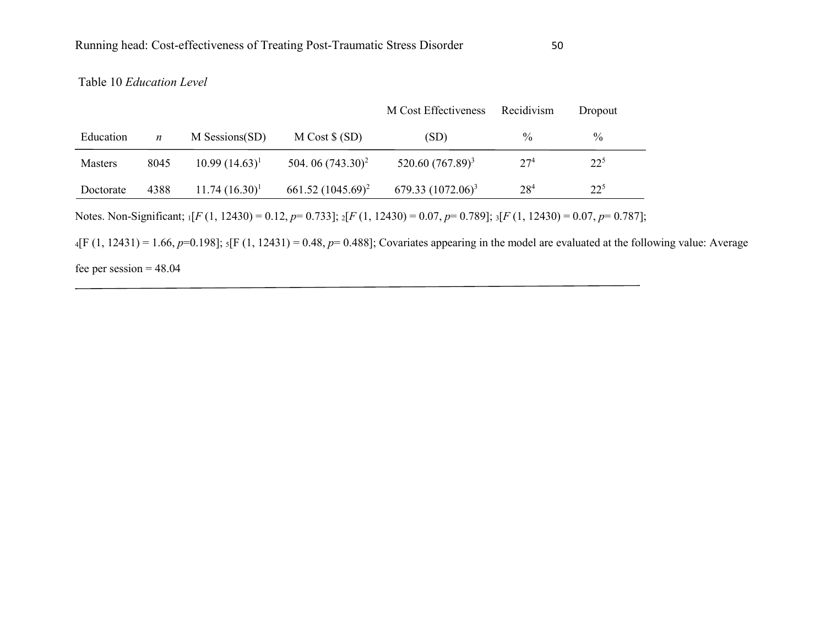### Table 10 *Education Level*

|                |                  |                  |                      | M Cost Effectiveness                                                                                                                                        | Recidivism      | Dropout  |  |
|----------------|------------------|------------------|----------------------|-------------------------------------------------------------------------------------------------------------------------------------------------------------|-----------------|----------|--|
| Education      | $\boldsymbol{n}$ | M Sessions(SD)   | $M Cost$ (SD)        | (SD)                                                                                                                                                        | $\%$            | $\%$     |  |
| <b>Masters</b> | 8045             | $10.99(14.63)^1$ | 504.06 $(743.30)^2$  | 520.60 (767.89) <sup>3</sup>                                                                                                                                | 27 <sup>4</sup> | $22^{5}$ |  |
| Doctorate      | 4388             | $11.74(16.30)^1$ | $661.52 (1045.69)^2$ | 679.33 $(1072.06)^3$                                                                                                                                        | 28 <sup>4</sup> | $22^{5}$ |  |
|                |                  |                  |                      | Notes. Non-Significant; $\iint F(1, 12430) = 0.12$ , $p = 0.733$ ]; $\iint F(1, 12430) = 0.07$ , $p = 0.789$ ]; $\iint F(1, 12430) = 0.07$ , $p = 0.787$ ]; |                 |          |  |
|                |                  |                  |                      | $_4$ [F (1, 12431) = 1.66, p=0.198]; $_5$ [F (1, 12431) = 0.48, p= 0.488]; Covariates appearing in the model are evaluated at the following value: Average  |                 |          |  |

fee per session  $= 48.04$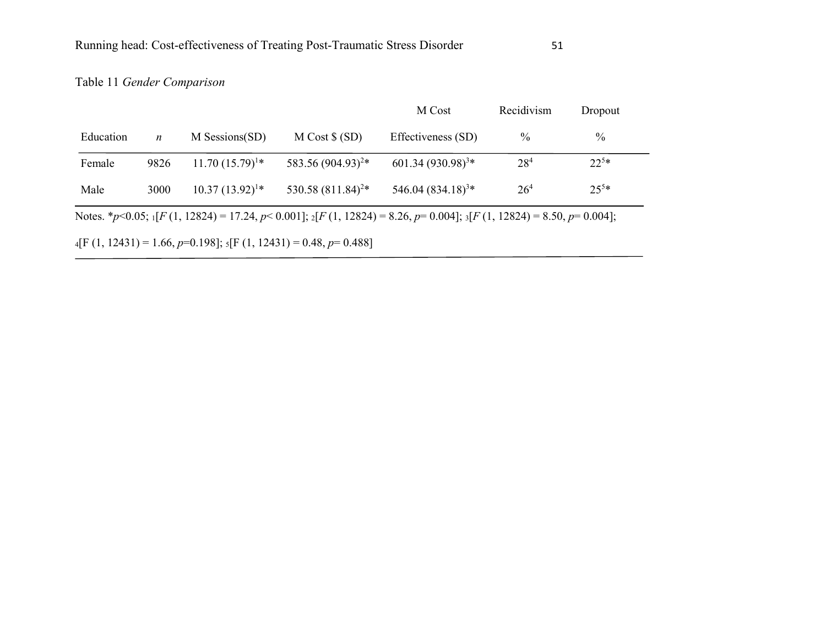## Table 11 *Gender Comparison*

|           |                  |                     |                                                                      | M Cost                                                                                                                                         | Recidivism      | Dropout   |
|-----------|------------------|---------------------|----------------------------------------------------------------------|------------------------------------------------------------------------------------------------------------------------------------------------|-----------------|-----------|
| Education | $\boldsymbol{n}$ | M Sessions(SD)      | $M Cost$ \$ (SD)                                                     | Effectiveness (SD)                                                                                                                             | $\%$            | $\%$      |
| Female    | 9826             | $11.70(15.79)^{1*}$ | 583.56 (904.93) <sup>2*</sup>                                        | $601.34 (930.98)^{3*}$                                                                                                                         | 28 <sup>4</sup> | $22^{5*}$ |
| Male      | 3000             | $10.37(13.92)^{1*}$ | 530.58 $(811.84)^{2*}$                                               | 546.04 $(834.18)^{3*}$                                                                                                                         | 26 <sup>4</sup> | $25^{5*}$ |
|           |                  |                     |                                                                      | Notes. *p<0.05; ${}_{1}[F(1, 12824) = 17.24, p < 0.001]$ ; ${}_{2}[F(1, 12824) = 8.26, p = 0.004]$ ; ${}_{3}[F(1, 12824) = 8.50, p = 0.004]$ ; |                 |           |
|           |                  |                     | $_4[F(1, 12431) = 1.66, p=0.198];$ $_5[F(1, 12431) = 0.48, p=0.488]$ |                                                                                                                                                |                 |           |